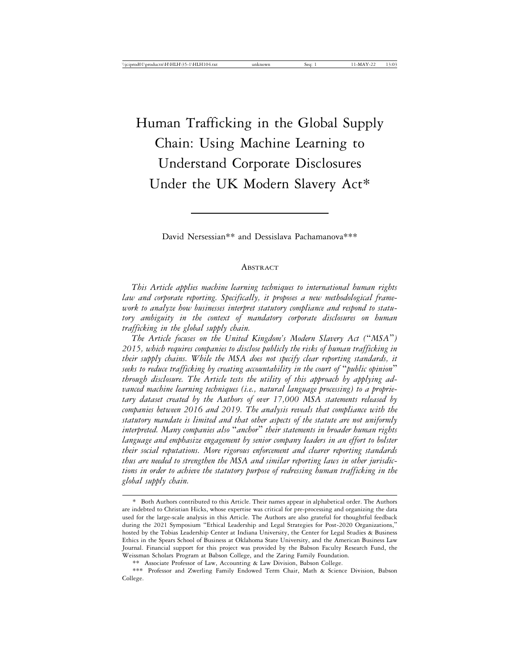# Human Trafficking in the Global Supply Chain: Using Machine Learning to Understand Corporate Disclosures Under the UK Modern Slavery Act\*

David Nersessian\*\* and Dessislava Pachamanova\*\*\*

#### ABSTRACT

*This Article applies machine learning techniques to international human rights law and corporate reporting. Specifically, it proposes a new methodological framework to analyze how businesses interpret statutory compliance and respond to statutory ambiguity in the context of mandatory corporate disclosures on human trafficking in the global supply chain.*

*The Article focuses on the United Kingdom's Modern Slavery Act (*"*MSA*"*) 2015, which requires companies to disclose publicly the risks of human trafficking in their supply chains. While the MSA does not specify clear reporting standards, it seeks to reduce trafficking by creating accountability in the court of* "*public opinion*" *through disclosure. The Article tests the utility of this approach by applying advanced machine learning techniques (i.e., natural language processing) to a proprietary dataset created by the Authors of over 17,000 MSA statements released by companies between 2016 and 2019. The analysis reveals that compliance with the statutory mandate is limited and that other aspects of the statute are not uniformly interpreted. Many companies also* "*anchor*" *their statements in broader human rights language and emphasize engagement by senior company leaders in an effort to bolster their social reputations. More rigorous enforcement and clearer reporting standards thus are needed to strengthen the MSA and similar reporting laws in other jurisdictions in order to achieve the statutory purpose of redressing human trafficking in the global supply chain.*

<sup>\*</sup> Both Authors contributed to this Article. Their names appear in alphabetical order. The Authors are indebted to Christian Hicks, whose expertise was critical for pre-processing and organizing the data used for the large-scale analysis in this Article. The Authors are also grateful for thoughtful feedback during the 2021 Symposium "Ethical Leadership and Legal Strategies for Post-2020 Organizations," hosted by the Tobias Leadership Center at Indiana University, the Center for Legal Studies & Business Ethics in the Spears School of Business at Oklahoma State University, and the American Business Law Journal. Financial support for this project was provided by the Babson Faculty Research Fund, the Weissman Scholars Program at Babson College, and the Zaring Family Foundation.

<sup>\*\*</sup> Associate Professor of Law, Accounting & Law Division, Babson College.

<sup>\*\*\*</sup> Professor and Zwerling Family Endowed Term Chair, Math & Science Division, Babson College.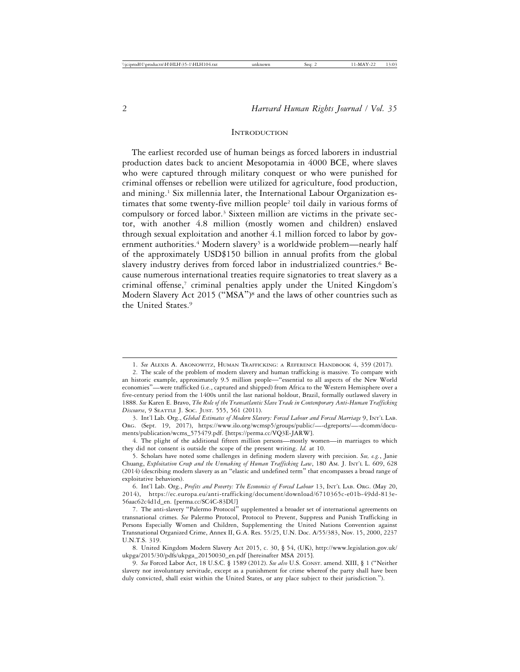#### **INTRODUCTION**

The earliest recorded use of human beings as forced laborers in industrial production dates back to ancient Mesopotamia in 4000 BCE, where slaves who were captured through military conquest or who were punished for criminal offenses or rebellion were utilized for agriculture, food production, and mining.1 Six millennia later, the International Labour Organization estimates that some twenty-five million people2 toil daily in various forms of compulsory or forced labor.<sup>3</sup> Sixteen million are victims in the private sector, with another 4.8 million (mostly women and children) enslaved through sexual exploitation and another 4.1 million forced to labor by government authorities.<sup>4</sup> Modern slavery<sup>5</sup> is a worldwide problem—nearly half of the approximately USD\$150 billion in annual profits from the global slavery industry derives from forced labor in industrialized countries.6 Because numerous international treaties require signatories to treat slavery as a criminal offense,7 criminal penalties apply under the United Kingdom's Modern Slavery Act 2015 ("MSA")8 and the laws of other countries such as the United States.9

<sup>1.</sup> *See* ALEXIS A. ARONOWITZ, HUMAN TRAFFICKING: A REFERENCE HANDBOOK 4, 359 (2017).

<sup>2.</sup> The scale of the problem of modern slavery and human trafficking is massive. To compare with an historic example, approximately 9.5 million people—"essential to all aspects of the New World economies"—were trafficked (i.e., captured and shipped) from Africa to the Western Hemisphere over a five-century period from the 1400s until the last national holdout, Brazil, formally outlawed slavery in 1888. *See* Karen E. Bravo, *The Role of the Transatlantic Slave Trade in Contemporary Anti-Human Trafficking Discourse*, 9 SEATTLE J. SOC. JUST. 555, 561 (2011).

<sup>3.</sup> Int'l Lab. Org., *Global Estimates of Modern Slavery: Forced Labour and Forced Marriage* 9, INT'L LAB. ORG. (Sept. 19, 2017), https://www.ilo.org/wcmsp5/groups/public/—-dgreports/—-dcomm/documents/publication/wcms\_575479.pdf. [https://perma.cc/VQ3E-JARW].

<sup>4.</sup> The plight of the additional fifteen million persons—mostly women—in marriages to which they did not consent is outside the scope of the present writing. *Id.* at 10.

<sup>5.</sup> Scholars have noted some challenges in defining modern slavery with precision. *See, e.g.*, Janie Chuang, *Exploitation Creep and the Unmaking of Human Trafficking Law*, 180 AM. J. INT'L L. 609, 628 (2014) (describing modern slavery as an "elastic and undefined term" that encompasses a broad range of exploitative behaviors).

<sup>6.</sup> Int'l Lab. Org., *Profits and Poverty: The Economics of Forced Labour* 13, INT'L LAB. ORG. (May 20, 2014), https://ec.europa.eu/anti-trafficking/document/download/6710365c-e01b-49dd-813e-56aac62c4d1d\_en. [perma.cc/SC4C-83DU]

<sup>7.</sup> The anti-slavery "Palermo Protocol" supplemented a broader set of international agreements on transnational crimes. *See* Palermo Protocol, Protocol to Prevent, Suppress and Punish Trafficking in Persons Especially Women and Children, Supplementing the United Nations Convention against Transnational Organized Crime, Annex II, G.A. Res. 55/25, U.N. Doc. A/55/383, Nov. 15, 2000, 2237 U.N.T.S. 319.

<sup>8.</sup> United Kingdom Modern Slavery Act 2015, c. 30, § 54, (UK), http://www.legislation.gov.uk/ ukpga/2015/30/pdfs/ukpga\_20150030\_en.pdf [hereinafter MSA 2015].

<sup>9.</sup> *See* Forced Labor Act, 18 U.S.C. § 1589 (2012). *See also* U.S. CONST. amend. XIII, § 1 ("Neither slavery nor involuntary servitude, except as a punishment for crime whereof the party shall have been duly convicted, shall exist within the United States, or any place subject to their jurisdiction.").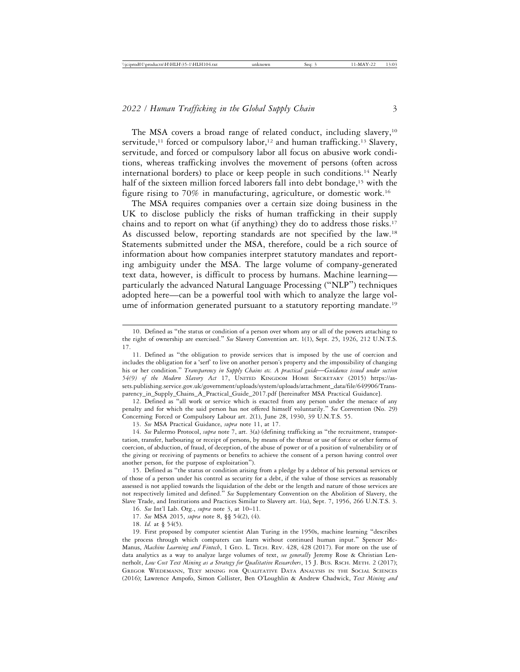The MSA covers a broad range of related conduct, including slavery,<sup>10</sup> servitude,<sup>11</sup> forced or compulsory labor,<sup>12</sup> and human trafficking.<sup>13</sup> Slavery, servitude, and forced or compulsory labor all focus on abusive work conditions, whereas trafficking involves the movement of persons (often across international borders) to place or keep people in such conditions.14 Nearly half of the sixteen million forced laborers fall into debt bondage,<sup>15</sup> with the figure rising to 70% in manufacturing, agriculture, or domestic work.16

The MSA requires companies over a certain size doing business in the UK to disclose publicly the risks of human trafficking in their supply chains and to report on what (if anything) they do to address those risks.17 As discussed below, reporting standards are not specified by the law.18 Statements submitted under the MSA, therefore, could be a rich source of information about how companies interpret statutory mandates and reporting ambiguity under the MSA. The large volume of company-generated text data, however, is difficult to process by humans. Machine learning particularly the advanced Natural Language Processing ("NLP") techniques adopted here—can be a powerful tool with which to analyze the large volume of information generated pursuant to a statutory reporting mandate.<sup>19</sup>

12. Defined as "all work or service which is exacted from any person under the menace of any penalty and for which the said person has not offered himself voluntarily." *See* Convention (No. 29) Concerning Forced or Compulsory Labour art. 2(1), June 28, 1930, 39 U.N.T.S. 55.

13. *See* MSA Practical Guidance, *supra* note 11, at 17.

14. *See* Palermo Protocol, *supra* note 7, art. 3(a) (defining trafficking as "the recruitment, transportation, transfer, harbouring or receipt of persons, by means of the threat or use of force or other forms of coercion, of abduction, of fraud, of deception, of the abuse of power or of a position of vulnerability or of the giving or receiving of payments or benefits to achieve the consent of a person having control over another person, for the purpose of exploitation").

15. Defined as "the status or condition arising from a pledge by a debtor of his personal services or of those of a person under his control as security for a debt, if the value of those services as reasonably assessed is not applied towards the liquidation of the debt or the length and nature of those services are not respectively limited and defined." *See* Supplementary Convention on the Abolition of Slavery, the Slave Trade, and Institutions and Practices Similar to Slavery art. 1(a), Sept. 7, 1956, 266 U.N.T.S. 3.

18. *Id.* at § 54(5).

19. First proposed by computer scientist Alan Turing in the 1950s, machine learning "describes the process through which computers can learn without continued human input." Spencer Mc-Manus, *Machine Learning and Fintech*, 1 GEO. L. TECH. REV. 428, 428 (2017). For more on the use of data analytics as a way to analyze large volumes of text, *see generally* Jeremy Rose & Christian Lennerholt, *Low Cost Text Mining as a Strategy for Qualitative Researchers*, 15 J. BUS. RSCH. METH. 2 (2017); GREGOR WIEDEMANN, TEXT MINING FOR QUALITATIVE DATA ANALYSIS IN THE SOCIAL SCIENCES (2016); Lawrence Ampofo, Simon Collister, Ben O'Loughlin & Andrew Chadwick, *Text Mining and*

<sup>10.</sup> Defined as "the status or condition of a person over whom any or all of the powers attaching to the right of ownership are exercised." *See* Slavery Convention art. 1(1), Sept. 25, 1926, 212 U.N.T.S. 17.

<sup>11.</sup> Defined as "the obligation to provide services that is imposed by the use of coercion and includes the obligation for a 'serf' to live on another person's property and the impossibility of changing his or her condition." *Transparency in Supply Chains etc. A practical guide*—*Guidance issued under section 54(9) of the Modern Slavery Act* 17, UNITED KINGDOM HOME SECRETARY (2015) https://assets.publishing.service.gov.uk/government/uploads/system/uploads/attachment\_data/file/649906/Transparency\_in\_Supply\_Chains\_A\_Practical\_Guide\_2017.pdf [hereinafter MSA Practical Guidance].

<sup>16.</sup> *See* Int'l Lab. Org., *supra* note 3, at 10–11. 17. *See* MSA 2015, *supra* note 8, §§ 54(2), (4).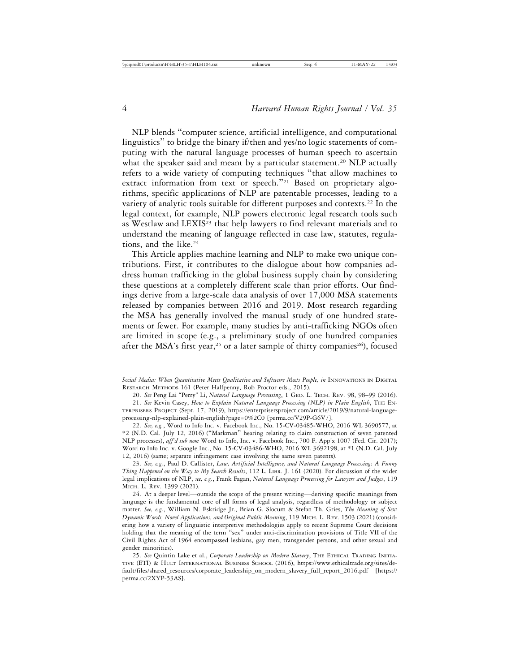NLP blends "computer science, artificial intelligence, and computational linguistics" to bridge the binary if/then and yes/no logic statements of computing with the natural language processes of human speech to ascertain what the speaker said and meant by a particular statement.<sup>20</sup> NLP actually refers to a wide variety of computing techniques "that allow machines to extract information from text or speech."<sup>21</sup> Based on proprietary algorithms, specific applications of NLP are patentable processes, leading to a variety of analytic tools suitable for different purposes and contexts.22 In the legal context, for example, NLP powers electronic legal research tools such as Westlaw and LEXIS23 that help lawyers to find relevant materials and to understand the meaning of language reflected in case law, statutes, regulations, and the like.<sup>24</sup>

This Article applies machine learning and NLP to make two unique contributions. First, it contributes to the dialogue about how companies address human trafficking in the global business supply chain by considering these questions at a completely different scale than prior efforts. Our findings derive from a large-scale data analysis of over 17,000 MSA statements released by companies between 2016 and 2019. Most research regarding the MSA has generally involved the manual study of one hundred statements or fewer. For example, many studies by anti-trafficking NGOs often are limited in scope (e.g., a preliminary study of one hundred companies after the MSA's first year,<sup>25</sup> or a later sample of thirty companies<sup>26</sup>), focused

Social Media: When Quantitative Meets Qualitative and Software Meets People, in INNOVATIONS IN DIGITAL RESEARCH METHODS 161 (Peter Halfpenny, Rob Proctor eds., 2015).

<sup>20.</sup> *See* Peng Lai "Perry" Li, *Natural Language Processing*, 1 GEO. L. TECH. REV. 98, 98–99 (2016).

<sup>21.</sup> *See* Kevin Casey, *How to Explain Natural Language Processing (NLP) in Plain English*, THE EN-TERPRISERS PROJECT (Sept. 17, 2019), https://enterprisersproject.com/article/2019/9/natural-languageprocessing-nlp-explained-plain-english?page=0%2C0 [perma.cc/V29P-G6V7].

<sup>22.</sup> *See, e.g.*, Word to Info Inc. v. Facebook Inc., No. 15-CV-03485-WHO, 2016 WL 3690577, at \*2 (N.D. Cal. July 12, 2016) ("Markman" hearing relating to claim construction of seven patented NLP processes), *aff'd sub nom* Word to Info, Inc. v. Facebook Inc., 700 F. App'x 1007 (Fed. Cir. 2017); Word to Info Inc. v. Google Inc., No. 15-CV-03486-WHO, 2016 WL 3692198, at \*1 (N.D. Cal. July 12, 2016) (same; separate infringement case involving the same seven patents).

<sup>23.</sup> *See, e.g.*, Paul D. Callister, *Law, Artificial Intelligence, and Natural Language Processing: A Funny Thing Happened on the Way to My Search Results*, 112 L. LIBR. J. 161 (2020). For discussion of the wider legal implications of NLP, *see, e.g.*, Frank Fagan, *Natural Language Processing for Lawyers and Judges*, 119 MICH. L. REV. 1399 (2021).

<sup>24.</sup> At a deeper level—outside the scope of the present writing—deriving specific meanings from language is the fundamental core of all forms of legal analysis, regardless of methodology or subject matter. *See, e.g.*, William N. Eskridge Jr., Brian G. Slocum & Stefan Th. Gries, *The Meaning of Sex: Dynamic Words, Novel Applications, and Original Public Meaning*, 119 MICH. L. REV. 1503 (2021) (considering how a variety of linguistic interpretive methodologies apply to recent Supreme Court decisions holding that the meaning of the term "sex" under anti-discrimination provisions of Title VII of the Civil Rights Act of 1964 encompassed lesbians, gay men, transgender persons, and other sexual and gender minorities).

<sup>25.</sup> *See* Quintin Lake et al., *Corporate Leadership on Modern Slavery*, THE ETHICAL TRADING INITIA-TIVE (ETI) & HULT INTERNATIONAL BUSINESS SCHOOL (2016), https://www.ethicaltrade.org/sites/default/files/shared\_resources/corporate\_leadership\_on\_modern\_slavery\_full\_report\_2016.pdf [https:// perma.cc/2XYP-53AS].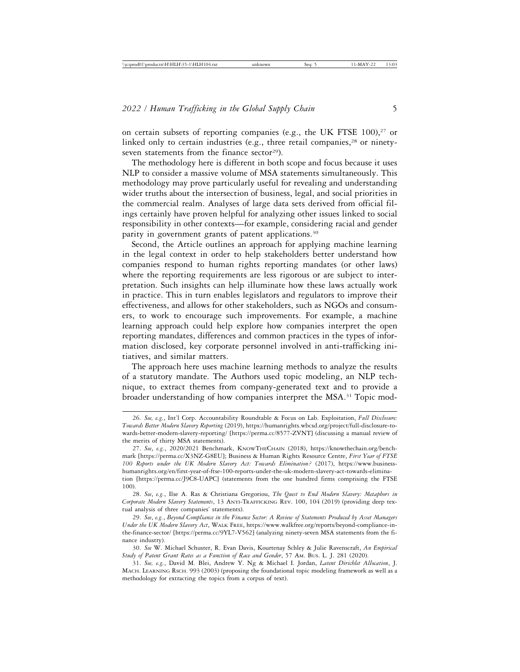on certain subsets of reporting companies (e.g., the UK FTSE  $100$ ),<sup>27</sup> or linked only to certain industries (e.g., three retail companies, $28$  or ninetyseven statements from the finance sector<sup>29</sup>).

The methodology here is different in both scope and focus because it uses NLP to consider a massive volume of MSA statements simultaneously. This methodology may prove particularly useful for revealing and understanding wider truths about the intersection of business, legal, and social priorities in the commercial realm. Analyses of large data sets derived from official filings certainly have proven helpful for analyzing other issues linked to social responsibility in other contexts—for example, considering racial and gender parity in government grants of patent applications.30

Second, the Article outlines an approach for applying machine learning in the legal context in order to help stakeholders better understand how companies respond to human rights reporting mandates (or other laws) where the reporting requirements are less rigorous or are subject to interpretation. Such insights can help illuminate how these laws actually work in practice. This in turn enables legislators and regulators to improve their effectiveness, and allows for other stakeholders, such as NGOs and consumers, to work to encourage such improvements. For example, a machine learning approach could help explore how companies interpret the open reporting mandates, differences and common practices in the types of information disclosed, key corporate personnel involved in anti-trafficking initiatives, and similar matters.

The approach here uses machine learning methods to analyze the results of a statutory mandate. The Authors used topic modeling, an NLP technique, to extract themes from company-generated text and to provide a broader understanding of how companies interpret the MSA.<sup>31</sup> Topic mod-

<sup>26.</sup> *See, e.g.*, Int'l Corp. Accountability Roundtable & Focus on Lab. Exploitation, *Full Disclosure: Towards Better Modern Slavery Reporting* (2019), https://humanrights.wbcsd.org/project/full-disclosure-towards-better-modern-slavery-reporting/ [https://perma.cc/8577-ZVNT] (discussing a manual review of the merits of thirty MSA statements).

<sup>27.</sup> *See*, *e.g.*, 2020/2021 Benchmark, KNOWTHECHAIN (2018), https://knowthechain.org/benchmark [https://perma.cc/X3NZ-G8EU]; Business & Human Rights Resource Centre, *First Year of FTSE 100 Reports under the UK Modern Slavery Act: Towards Elimination?* (2017), https://www.businesshumanrights.org/en/first-year-of-ftse-100-reports-under-the-uk-modern-slavery-act-towards-elimination [https://perma.cc/J9C8-UAPC] (statements from the one hundred firms comprising the FTSE 100).

<sup>28.</sup> *See*, *e.g.*, Ilse A. Ras & Christiana Gregoriou, *The Quest to End Modern Slavery: Metaphors in Corporate Modern Slavery Statements*, 13 ANTI-TRAFFICKING REV. 100, 104 (2019) (providing deep textual analysis of three companies' statements).

<sup>29.</sup> *See*, *e.g.*, *Beyond Compliance in the Finance Sector: A Review of Statements Produced by Asset Managers Under the UK Modern Slavery Act*, WALK FREE, https://www.walkfree.org/reports/beyond-compliance-inthe-finance-sector/ [https://perma.cc/9YL7-V562] (analyzing ninety-seven MSA statements from the finance industry).

<sup>30.</sup> *See* W. Michael Schuster, R. Evan Davis, Kourtenay Schley & Julie Ravenscraft, *An Empirical Study of Patent Grant Rates as a Function of Race and Gender*, 57 AM. BUS. L. J. 281 (2020).

<sup>31.</sup> *See, e.g.*, David M. Blei, Andrew Y. Ng & Michael I. Jordan, *Latent Dirichlet Allocation*, J. MACH. LEARNING RSCH. 993 (2003) (proposing the foundational topic modeling framework as well as a methodology for extracting the topics from a corpus of text).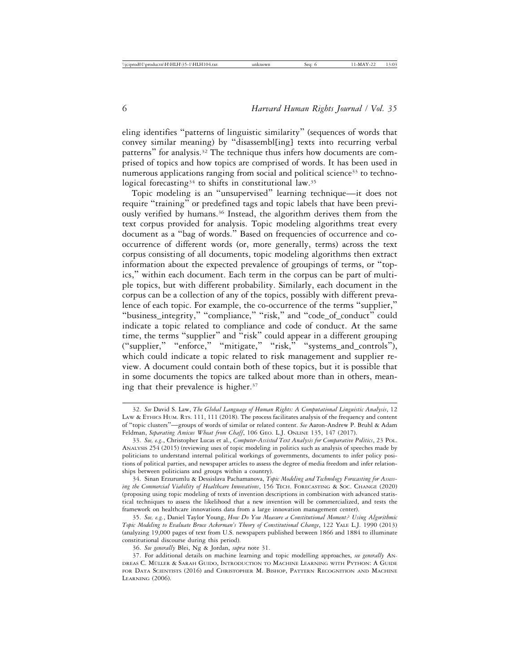eling identifies "patterns of linguistic similarity" (sequences of words that convey similar meaning) by "disassembl[ing] texts into recurring verbal patterns" for analysis.32 The technique thus infers how documents are comprised of topics and how topics are comprised of words. It has been used in numerous applications ranging from social and political science<sup>33</sup> to technological forecasting<sup>34</sup> to shifts in constitutional law.<sup>35</sup>

Topic modeling is an "unsupervised" learning technique—it does not require "training" or predefined tags and topic labels that have been previously verified by humans.36 Instead, the algorithm derives them from the text corpus provided for analysis. Topic modeling algorithms treat every document as a "bag of words." Based on frequencies of occurrence and cooccurrence of different words (or, more generally, terms) across the text corpus consisting of all documents, topic modeling algorithms then extract information about the expected prevalence of groupings of terms, or "topics," within each document. Each term in the corpus can be part of multiple topics, but with different probability. Similarly, each document in the corpus can be a collection of any of the topics, possibly with different prevalence of each topic. For example, the co-occurrence of the terms "supplier," "business\_integrity," "compliance," "risk," and "code\_of\_conduct" could indicate a topic related to compliance and code of conduct. At the same time, the terms "supplier" and "risk" could appear in a different grouping ("supplier," "enforce," "mitigate," "risk," "systems\_and\_controls"), which could indicate a topic related to risk management and supplier review. A document could contain both of these topics, but it is possible that in some documents the topics are talked about more than in others, meaning that their prevalence is higher.<sup>37</sup>

<sup>32.</sup> *See* David S. Law, *The Global Language of Human Rights: A Computational Linguistic Analysis*, 12 LAW & ETHICS HUM. RTS. 111, 111 (2018). The process facilitates analysis of the frequency and content of "topic clusters"—groups of words of similar or related content. *See* Aaron-Andrew P. Bruhl & Adam Feldman, Separating Amicus Wheat from Chaff, 106 GEO. L.J. ONLINE 135, 147 (2017).

<sup>33.</sup> *See, e.g.*, Christopher Lucas et al., *Computer-Assisted Text Analysis for Comparative Politics*, 23 POL. ANALYSIS 254 (2015) (reviewing uses of topic modeling in politics such as analysis of speeches made by politicians to understand internal political workings of governments, documents to infer policy positions of political parties, and newspaper articles to assess the degree of media freedom and infer relationships between politicians and groups within a country).

<sup>34.</sup> Sinan Erzurumlu & Dessislava Pachamanova, *Topic Modeling and Technology Forecasting for Assessing the Commercial Viability of Healthcare Innovations*, 156 TECH. FORECASTING & SOC. CHANGE (2020) (proposing using topic modeling of texts of invention descriptions in combination with advanced statistical techniques to assess the likelihood that a new invention will be commercialized, and tests the framework on healthcare innovations data from a large innovation management center).

<sup>35.</sup> *See, e.g.*, Daniel Taylor Young, *How Do You Measure a Constitutional Moment? Using Algorithmic Topic Modeling to Evaluate Bruce Ackerman's Theory of Constitutional Change*, 122 YALE L.J. 1990 (2013) (analyzing 19,000 pages of text from U.S. newspapers published between 1866 and 1884 to illuminate constitutional discourse during this period).

<sup>36.</sup> *See generally* Blei, Ng & Jordan, *supra* note 31.

<sup>37.</sup> For additional details on machine learning and topic modelling approaches, *see generally* AN-DREAS C. MÜLLER & SARAH GUIDO, INTRODUCTION TO MACHINE LEARNING WITH PYTHON: A GUIDE FOR DATA SCIENTISTS (2016) and CHRISTOPHER M. BISHOP, PATTERN RECOGNITION AND MACHINE LEARNING (2006).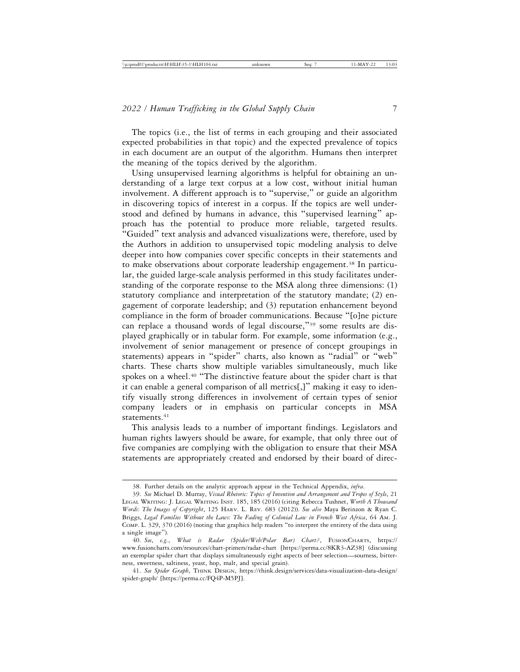The topics (i.e., the list of terms in each grouping and their associated expected probabilities in that topic) and the expected prevalence of topics in each document are an output of the algorithm. Humans then interpret the meaning of the topics derived by the algorithm.

Using unsupervised learning algorithms is helpful for obtaining an understanding of a large text corpus at a low cost, without initial human involvement. A different approach is to "supervise," or guide an algorithm in discovering topics of interest in a corpus. If the topics are well understood and defined by humans in advance, this "supervised learning" approach has the potential to produce more reliable, targeted results. "Guided" text analysis and advanced visualizations were, therefore, used by the Authors in addition to unsupervised topic modeling analysis to delve deeper into how companies cover specific concepts in their statements and to make observations about corporate leadership engagement.<sup>38</sup> In particular, the guided large-scale analysis performed in this study facilitates understanding of the corporate response to the MSA along three dimensions: (1) statutory compliance and interpretation of the statutory mandate; (2) engagement of corporate leadership; and (3) reputation enhancement beyond compliance in the form of broader communications. Because "[o]ne picture can replace a thousand words of legal discourse,"39 some results are displayed graphically or in tabular form. For example, some information (e.g., involvement of senior management or presence of concept groupings in statements) appears in "spider" charts, also known as "radial" or "web" charts. These charts show multiple variables simultaneously, much like spokes on a wheel.<sup>40</sup> "The distinctive feature about the spider chart is that it can enable a general comparison of all metrics[,]" making it easy to identify visually strong differences in involvement of certain types of senior company leaders or in emphasis on particular concepts in MSA statements.<sup>41</sup>

This analysis leads to a number of important findings. Legislators and human rights lawyers should be aware, for example, that only three out of five companies are complying with the obligation to ensure that their MSA statements are appropriately created and endorsed by their board of direc-

<sup>38.</sup> Further details on the analytic approach appear in the Technical Appendix, *infra*.

<sup>39.</sup> *See* Michael D. Murray, *Visual Rhetoric: Topics of Invention and Arrangement and Tropes of Style*, 21 LEGAL WRITING: J. LEGAL WRITING INST. 185, 185 (2016) (citing Rebecca Tushnet, *Worth A Thousand Words: The Images of Copyright*, 125 HARV. L. REV. 683 (2012)). *See also* Maya Berinzon & Ryan C. Briggs, *Legal Families Without the Laws: The Fading of Colonial Law in French West Africa*, 64 AM. J. COMP. L. 329, 370 (2016) (noting that graphics help readers "to interpret the entirety of the data using a single image").

<sup>40.</sup> *See*, *e.g.*, *What is Radar (Spider/Web/Polar Bar) Chart?*, FUSIONCHARTS, https:// www.fusioncharts.com/resources/chart-primers/radar-chart [https://perma.cc/8KR3-AZ38] (discussing an exemplar spider chart that displays simultaneously eight aspects of beer selection—sourness, bitterness, sweetness, saltiness, yeast, hop, malt, and special grain).

<sup>41.</sup> *See Spider Graph*, THINK DESIGN, https://think.design/services/data-visualization-data-design/ spider-graph/ [https://perma.cc/FQ4P-M5PJ].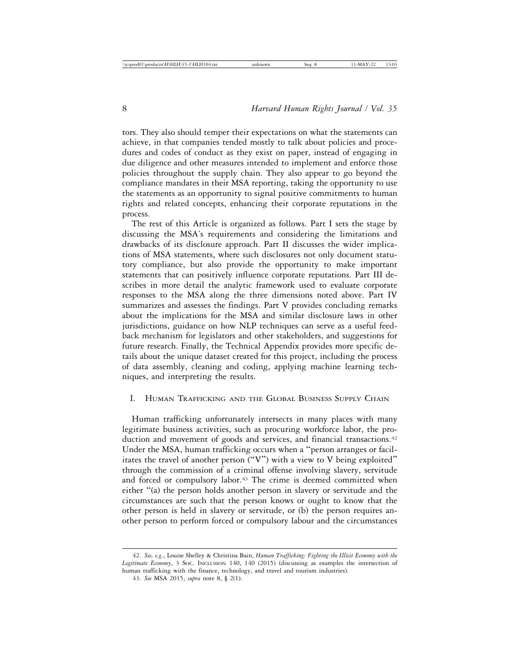tors. They also should temper their expectations on what the statements can achieve, in that companies tended mostly to talk about policies and procedures and codes of conduct as they exist on paper, instead of engaging in due diligence and other measures intended to implement and enforce those policies throughout the supply chain. They also appear to go beyond the compliance mandates in their MSA reporting, taking the opportunity to use the statements as an opportunity to signal positive commitments to human rights and related concepts, enhancing their corporate reputations in the process.

The rest of this Article is organized as follows. Part I sets the stage by discussing the MSA's requirements and considering the limitations and drawbacks of its disclosure approach. Part II discusses the wider implications of MSA statements, where such disclosures not only document statutory compliance, but also provide the opportunity to make important statements that can positively influence corporate reputations. Part III describes in more detail the analytic framework used to evaluate corporate responses to the MSA along the three dimensions noted above. Part IV summarizes and assesses the findings. Part V provides concluding remarks about the implications for the MSA and similar disclosure laws in other jurisdictions, guidance on how NLP techniques can serve as a useful feedback mechanism for legislators and other stakeholders, and suggestions for future research. Finally, the Technical Appendix provides more specific details about the unique dataset created for this project, including the process of data assembly, cleaning and coding, applying machine learning techniques, and interpreting the results.

## I. HUMAN TRAFFICKING AND THE GLOBAL BUSINESS SUPPLY CHAIN

Human trafficking unfortunately intersects in many places with many legitimate business activities, such as procuring workforce labor, the production and movement of goods and services, and financial transactions.<sup>42</sup> Under the MSA, human trafficking occurs when a "person arranges or facilitates the travel of another person ("V") with a view to V being exploited" through the commission of a criminal offense involving slavery, servitude and forced or compulsory labor.<sup>43</sup> The crime is deemed committed when either "(a) the person holds another person in slavery or servitude and the circumstances are such that the person knows or ought to know that the other person is held in slavery or servitude, or (b) the person requires another person to perform forced or compulsory labour and the circumstances

<sup>42.</sup> *See, e.g.*, Louise Shelley & Christina Bain, *Human Trafficking: Fighting the Illicit Economy with the Legitimate Economy*, 3 SOC. INCLUSION 140, 140 (2015) (discussing as examples the intersection of human trafficking with the finance, technology, and travel and tourism industries).

<sup>43.</sup> *See* MSA 2015, *supra* note 8, § 2(1).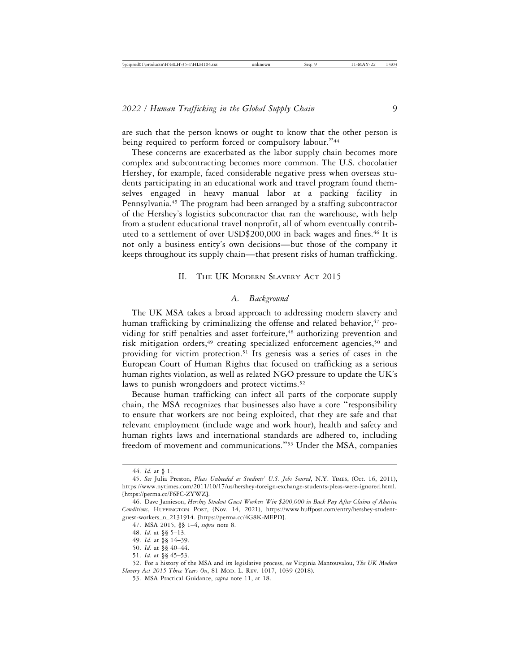are such that the person knows or ought to know that the other person is being required to perform forced or compulsory labour."<sup>44</sup>

These concerns are exacerbated as the labor supply chain becomes more complex and subcontracting becomes more common. The U.S. chocolatier Hershey, for example, faced considerable negative press when overseas students participating in an educational work and travel program found themselves engaged in heavy manual labor at a packing facility in Pennsylvania.45 The program had been arranged by a staffing subcontractor of the Hershey's logistics subcontractor that ran the warehouse, with help from a student educational travel nonprofit, all of whom eventually contributed to a settlement of over USD\$200,000 in back wages and fines.46 It is not only a business entity's own decisions—but those of the company it keeps throughout its supply chain—that present risks of human trafficking.

#### II. THE UK MODERN SLAVERY ACT 2015

#### *A. Background*

The UK MSA takes a broad approach to addressing modern slavery and human trafficking by criminalizing the offense and related behavior,<sup>47</sup> providing for stiff penalties and asset forfeiture,<sup>48</sup> authorizing prevention and risk mitigation orders,<sup>49</sup> creating specialized enforcement agencies,<sup>50</sup> and providing for victim protection.51 Its genesis was a series of cases in the European Court of Human Rights that focused on trafficking as a serious human rights violation, as well as related NGO pressure to update the UK's laws to punish wrongdoers and protect victims.<sup>52</sup>

Because human trafficking can infect all parts of the corporate supply chain, the MSA recognizes that businesses also have a core "responsibility to ensure that workers are not being exploited, that they are safe and that relevant employment (include wage and work hour), health and safety and human rights laws and international standards are adhered to, including freedom of movement and communications."53 Under the MSA, companies

<sup>44.</sup> *Id.* at § 1.

<sup>45.</sup> *See* Julia Preston, *Pleas Unheeded as Students' U.S. Jobs Soured*, N.Y. TIMES, (Oct. 16, 2011), https://www.nytimes.com/2011/10/17/us/hershey-foreign-exchange-students-pleas-were-ignored.html. [https://perma.cc/F6FC-ZYWZ].

<sup>46.</sup> Dave Jamieson, *Hershey Student Guest Workers Win \$200,000 in Back Pay After Claims of Abusive Conditions*, HUFFINGTON POST, (Nov. 14, 2021), https://www.huffpost.com/entry/hershey-studentguest-workers\_n\_2131914. [https://perma.cc/4G8K-MEPD].

<sup>47.</sup> MSA 2015, §§ 1–4, *supra* note 8.

<sup>48.</sup> *Id*. at §§ 5–13.

<sup>49.</sup> *Id*. at §§ 14–39.

<sup>50.</sup> *Id*. at §§ 40–44.

<sup>51.</sup> *Id*. at §§ 45–53.

<sup>52.</sup> For a history of the MSA and its legislative process, *see* Virginia Mantouvalou, *The UK Modern Slavery Act 2015 Three Years On*, 81 MOD. L. REV. 1017, 1039 (2018).

<sup>53.</sup> MSA Practical Guidance, *supra* note 11, at 18.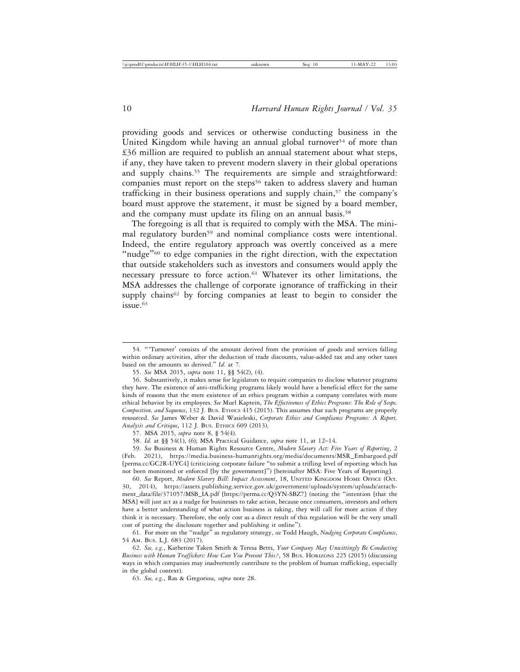providing goods and services or otherwise conducting business in the United Kingdom while having an annual global turnover<sup>54</sup> of more than £36 million are required to publish an annual statement about what steps, if any, they have taken to prevent modern slavery in their global operations and supply chains.<sup>55</sup> The requirements are simple and straightforward: companies must report on the steps<sup>56</sup> taken to address slavery and human trafficking in their business operations and supply chain,<sup>57</sup> the company's board must approve the statement, it must be signed by a board member, and the company must update its filing on an annual basis.<sup>58</sup>

The foregoing is all that is required to comply with the MSA. The minimal regulatory burden<sup>59</sup> and nominal compliance costs were intentional. Indeed, the entire regulatory approach was overtly conceived as a mere "nudge"<sup>60</sup> to edge companies in the right direction, with the expectation that outside stakeholders such as investors and consumers would apply the necessary pressure to force action.61 Whatever its other limitations, the MSA addresses the challenge of corporate ignorance of trafficking in their supply chains<sup>62</sup> by forcing companies at least to begin to consider the  $i$ ssue.  $63$ 

<sup>54.</sup> "'Turnover' consists of the amount derived from the provision of goods and services falling within ordinary activities, after the deduction of trade discounts, value-added tax and any other taxes based on the amounts so derived." *Id.* at 7.

<sup>55.</sup> *See* MSA 2015, *supra* note 11, §§ 54(2), (4).

<sup>56.</sup> Substantively, it makes sense for legislators to require companies to disclose whatever programs they have. The existence of anti-trafficking programs likely would have a beneficial effect for the same kinds of reasons that the mere existence of an ethics program within a company correlates with more ethical behavior by its employees. *See* Muel Kaptein, *The Effectiveness of Ethics Programs: The Role of Scope, Composition, and Sequence*, 132 J. BUS. ETHICS 415 (2015). This assumes that such programs are properly resourced. *See* James Weber & David Wasieleski, *Corporate Ethics and Compliance Programs: A Report, Analysis and Critique*, 112 J. BUS. ETHICS 609 (2013).

<sup>57.</sup> MSA 2015, *supra* note 8, § 54(4).

<sup>58.</sup> *Id.* at §§ 54(1), (6); MSA Practical Guidance, *supra* note 11, at 12–14.

<sup>59.</sup> *See* Business & Human Rights Resource Centre, *Modern Slavery Act: Five Years of Reporting*, 2 (Feb. 2021), https://media.business-humanrights.org/media/documents/MSR\_Embargoed.pdf [perma.cc/GC2R-UYC4] (criticizing corporate failure "to submit a trifling level of reporting which has not been monitored or enforced [by the government]") [hereinafter MSA: Five Years of Reporting].

<sup>60.</sup> *See* Report, *Modern Slavery Bill: Impact Assessment*, 18, UNITED KINGDOM HOME OFFICE (Oct. 30, 2014), https://assets.publishing.service.gov.uk/government/uploads/system/uploads/attachment\_data/file/371057/MSB\_IA.pdf [https://perma.cc/Q3YN-SBZ7] (noting the "intention [that the MSA] will just act as a nudge for businesses to take action, because once consumers, investors and others have a better understanding of what action business is taking, they will call for more action if they think it is necessary. Therefore, the only cost as a direct result of this regulation will be the very small cost of putting the disclosure together and publishing it online").

<sup>61.</sup> For more on the "nudge" as regulatory strategy, *see* Todd Haugh, *Nudging Corporate Compliance*, 54 AM. BUS. L.J. 683 (2017).

<sup>62.</sup> *See, e.g.*, Katherine Taken Smith & Teresa Betts, *Your Company May Unwittingly Be Conducting Business with Human Traffickers: How Can You Prevent This?*, 58 BUS. HORIZONS 225 (2015) (discussing ways in which companies may inadvertently contribute to the problem of human trafficking, especially in the global context).

<sup>63.</sup> *See, e.g.*, Ras & Gregoriou, *supra* note 28.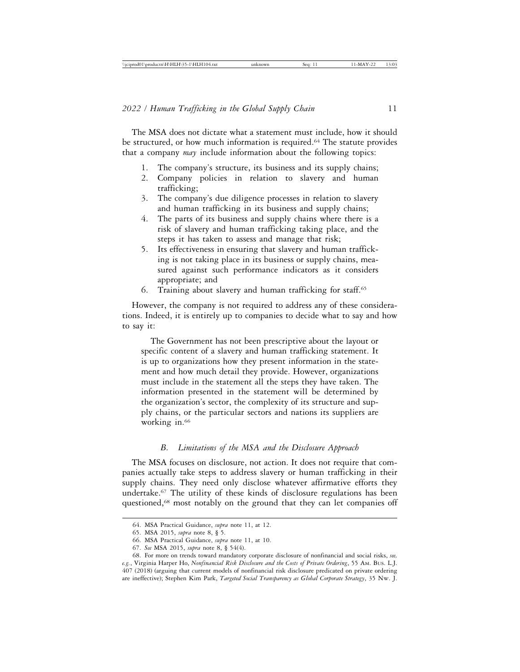The MSA does not dictate what a statement must include, how it should be structured, or how much information is required.64 The statute provides that a company *may* include information about the following topics:

- 1. The company's structure, its business and its supply chains;
- 2. Company policies in relation to slavery and human trafficking;
- 3. The company's due diligence processes in relation to slavery and human trafficking in its business and supply chains;
- 4. The parts of its business and supply chains where there is a risk of slavery and human trafficking taking place, and the steps it has taken to assess and manage that risk;
- 5. Its effectiveness in ensuring that slavery and human trafficking is not taking place in its business or supply chains, measured against such performance indicators as it considers appropriate; and
- 6. Training about slavery and human trafficking for staff.65

However, the company is not required to address any of these considerations. Indeed, it is entirely up to companies to decide what to say and how to say it:

The Government has not been prescriptive about the layout or specific content of a slavery and human trafficking statement. It is up to organizations how they present information in the statement and how much detail they provide. However, organizations must include in the statement all the steps they have taken. The information presented in the statement will be determined by the organization's sector, the complexity of its structure and supply chains, or the particular sectors and nations its suppliers are working in.<sup>66</sup>

### *B. Limitations of the MSA and the Disclosure Approach*

The MSA focuses on disclosure, not action. It does not require that companies actually take steps to address slavery or human trafficking in their supply chains. They need only disclose whatever affirmative efforts they undertake.67 The utility of these kinds of disclosure regulations has been questioned,68 most notably on the ground that they can let companies off

<sup>64.</sup> MSA Practical Guidance, *supra* note 11, at 12.

<sup>65.</sup> MSA 2015, *supra* note 8, § 5.

<sup>66.</sup> MSA Practical Guidance, *supra* note 11, at 10.

<sup>67.</sup> *See* MSA 2015, *supra* note 8, § 54(4).

<sup>68.</sup> For more on trends toward mandatory corporate disclosure of nonfinancial and social risks, *see, e.g.*, Virginia Harper Ho, *Nonfinancial Risk Disclosure and the Costs of Private Ordering*, 55 AM. BUS. L.J. 407 (2018) (arguing that current models of nonfinancial risk disclosure predicated on private ordering are ineffective); Stephen Kim Park, *Targeted Social Transparency as Global Corporate Strategy*, 35 NW. J.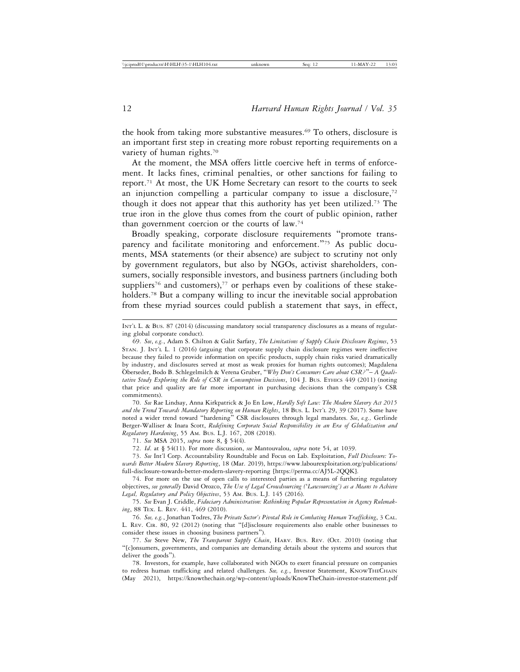the hook from taking more substantive measures.69 To others, disclosure is an important first step in creating more robust reporting requirements on a variety of human rights.70

At the moment, the MSA offers little coercive heft in terms of enforcement. It lacks fines, criminal penalties, or other sanctions for failing to report.71 At most, the UK Home Secretary can resort to the courts to seek an injunction compelling a particular company to issue a disclosure, $72$ though it does not appear that this authority has yet been utilized.73 The true iron in the glove thus comes from the court of public opinion, rather than government coercion or the courts of law.74

Broadly speaking, corporate disclosure requirements "promote transparency and facilitate monitoring and enforcement."75 As public documents, MSA statements (or their absence) are subject to scrutiny not only by government regulators, but also by NGOs, activist shareholders, consumers, socially responsible investors, and business partners (including both suppliers<sup>76</sup> and customers),<sup>77</sup> or perhaps even by coalitions of these stakeholders.<sup>78</sup> But a company willing to incur the inevitable social approbation from these myriad sources could publish a statement that says, in effect,

70. *See* Rae Lindsay, Anna Kirkpatrick & Jo En Low, *Hardly Soft Law: The Modern Slavery Act 2015 and the Trend Towards Mandatory Reporting on Human Rights*, 18 BUS. L. INT'L 29, 39 (2017). Some have noted a wider trend toward "hardening" CSR disclosures through legal mandates. *See*, *e.g.,* Gerlinde Berger-Walliser & Inara Scott, *Redefining Corporate Social Responsibility in an Era of Globalization and Regulatory Hardening*, 55 AM. BUS. L.J. 167, 208 (2018).

72. *Id*. at § 54(11). For more discussion, *see* Mantouvalou, *supra* note 54, at 1039.

74. For more on the use of open calls to interested parties as a means of furthering regulatory objectives, *see generally* David Orozco, *The Use of Legal Crowdsourcing (*'*Lawsourcing') as a Means to Achieve Legal, Regulatory and Policy Objectives*, 53 AM. BUS. L.J. 145 (2016).

75. *See* Evan J. Criddle, *Fiduciary Administration: Rethinking Popular Representation in Agency Rulemaking*, 88 TEX. L. REV. 441, 469 (2010).

76. *See, e.g.*, Jonathan Todres, *The Private Sector's Pivotal Role in Combating Human Trafficking*, 3 CAL. L. REV. CIR. 80, 92 (2012) (noting that "[d]isclosure requirements also enable other businesses to consider these issues in choosing business partners").

77. *See* Steve New, *The Transparent Supply Chain*, HARV. BUS. REV. (Oct. 2010) (noting that "[c]onsumers, governments, and companies are demanding details about the systems and sources that deliver the goods").

78. Investors, for example, have collaborated with NGOs to exert financial pressure on companies to redress human trafficking and related challenges. See, e.g., Investor Statement, KNOWTHECHAIN (May 2021), https://knowthechain.org/wp-content/uploads/KnowTheChain-investor-statement.pdf

INT'L L. & BUS. 87 (2014) (discussing mandatory social transparency disclosures as a means of regulating global corporate conduct).

<sup>69.</sup> *See*, *e.g.*, Adam S. Chilton & Galit Sarfaty, *The Limitations of Supply Chain Disclosure Regimes*, 53 STAN. J. INT'L L. 1 (2016) (arguing that corporate supply chain disclosure regimes were ineffective because they failed to provide information on specific products, supply chain risks varied dramatically by industry, and disclosures served at most as weak proxies for human rights outcomes); Magdalena Oberseder, Bodo B. Schlegelmilch & Verena Gruber, ¨ "*Why Don't Consumers Care about CSR?*"– *A Qualitative Study Exploring the Role of CSR in Consumption Decisions*, 104 J. BUS. ETHICS 449 (2011) (noting that price and quality are far more important in purchasing decisions than the company's CSR commitments).

<sup>71.</sup> *See* MSA 2015, *supra* note 8, § 54(4).

<sup>73.</sup> *See* Int'l Corp. Accountability Roundtable and Focus on Lab. Exploitation, *Full Disclosure: Towards Better Modern Slavery Reporting*, 18 (Mar. 2019), https://www.labourexploitation.org/publications/ full-disclosure-towards-better-modern-slavery-reporting [https://perma.cc/AJ5L-2QQK].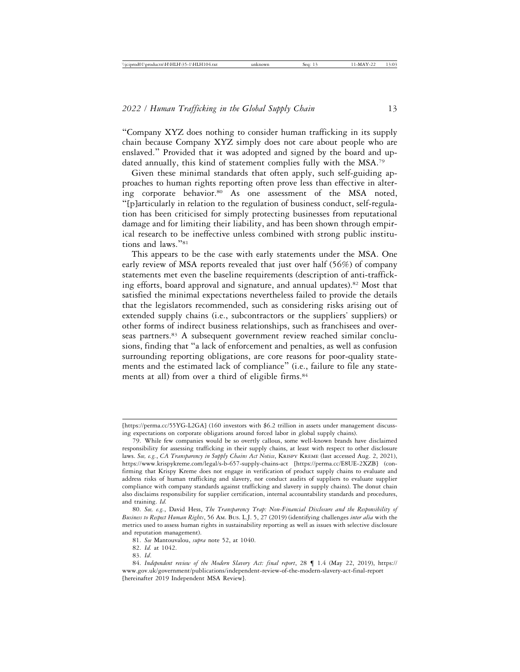"Company XYZ does nothing to consider human trafficking in its supply chain because Company XYZ simply does not care about people who are enslaved." Provided that it was adopted and signed by the board and updated annually, this kind of statement complies fully with the MSA.<sup>79</sup>

Given these minimal standards that often apply, such self-guiding approaches to human rights reporting often prove less than effective in altering corporate behavior.<sup>80</sup> As one assessment of the MSA noted, "[p]articularly in relation to the regulation of business conduct, self-regulation has been criticised for simply protecting businesses from reputational damage and for limiting their liability, and has been shown through empirical research to be ineffective unless combined with strong public institutions and laws."<sup>81</sup>

This appears to be the case with early statements under the MSA. One early review of MSA reports revealed that just over half (56%) of company statements met even the baseline requirements (description of anti-trafficking efforts, board approval and signature, and annual updates).82 Most that satisfied the minimal expectations nevertheless failed to provide the details that the legislators recommended, such as considering risks arising out of extended supply chains (i.e., subcontractors or the suppliers' suppliers) or other forms of indirect business relationships, such as franchisees and overseas partners.<sup>83</sup> A subsequent government review reached similar conclusions, finding that "a lack of enforcement and penalties, as well as confusion surrounding reporting obligations, are core reasons for poor-quality statements and the estimated lack of compliance" (i.e., failure to file any statements at all) from over a third of eligible firms.<sup>84</sup>

<sup>[</sup>https://perma.cc/55YG-L2GA] (160 investors with \$6.2 trillion in assets under management discussing expectations on corporate obligations around forced labor in global supply chains).

<sup>79.</sup> While few companies would be so overtly callous, some well-known brands have disclaimed responsibility for assessing trafficking in their supply chains, at least with respect to other disclosure laws. *See, e.g.*, *CA Transparency in Supply Chains Act Notice*, KRISPY KREME (last accessed Aug. 2, 2021), https://www.krispykreme.com/legal/s-b-657-supply-chains-act [https://perma.cc/E8UE-2XZB] (confirming that Krispy Kreme does not engage in verification of product supply chains to evaluate and address risks of human trafficking and slavery, nor conduct audits of suppliers to evaluate supplier compliance with company standards against trafficking and slavery in supply chains). The donut chain also disclaims responsibility for supplier certification, internal accountability standards and procedures, and training. *Id.*

<sup>80.</sup> *See, e.g.*, David Hess, *The Transparency Trap: Non-Financial Disclosure and the Responsibility of Business to Respect Human Rights*, 56 AM. BUS. L.J. 5, 27 (2019) (identifying challenges *inter alia* with the metrics used to assess human rights in sustainability reporting as well as issues with selective disclosure and reputation management).

<sup>81.</sup> *See* Mantouvalou, *supra* note 52, at 1040.

<sup>82.</sup> *Id.* at 1042.

<sup>83.</sup> *Id*.

<sup>84.</sup> *Independent review of the Modern Slavery Act: final report*, 28 ¶ 1.4 (May 22, 2019), https:// www.gov.uk/government/publications/independent-review-of-the-modern-slavery-act-final-report [hereinafter 2019 Independent MSA Review].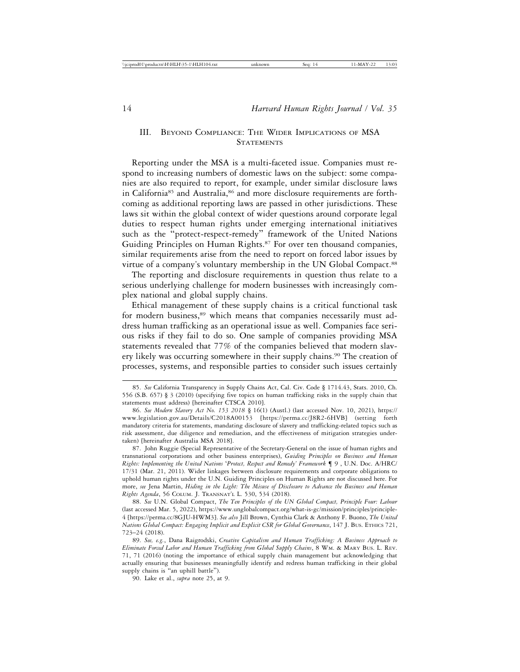## III. BEYOND COMPLIANCE: THE WIDER IMPLICATIONS OF MSA **STATEMENTS**

Reporting under the MSA is a multi-faceted issue. Companies must respond to increasing numbers of domestic laws on the subject: some companies are also required to report, for example, under similar disclosure laws in California<sup>85</sup> and Australia,<sup>86</sup> and more disclosure requirements are forthcoming as additional reporting laws are passed in other jurisdictions. These laws sit within the global context of wider questions around corporate legal duties to respect human rights under emerging international initiatives such as the "protect-respect-remedy" framework of the United Nations Guiding Principles on Human Rights.<sup>87</sup> For over ten thousand companies, similar requirements arise from the need to report on forced labor issues by virtue of a company's voluntary membership in the UN Global Compact.88

The reporting and disclosure requirements in question thus relate to a serious underlying challenge for modern businesses with increasingly complex national and global supply chains.

Ethical management of these supply chains is a critical functional task for modern business,<sup>89</sup> which means that companies necessarily must address human trafficking as an operational issue as well. Companies face serious risks if they fail to do so. One sample of companies providing MSA statements revealed that 77% of the companies believed that modern slavery likely was occurring somewhere in their supply chains.90 The creation of processes, systems, and responsible parties to consider such issues certainly

87. John Ruggie (Special Representative of the Secretary-General on the issue of human rights and transnational corporations and other business enterprises), *Guiding Principles on Business and Human Rights: Implementing the United Nations* '*Protect, Respect and Remedy' Framework* ¶ 9 , U.N. Doc. A/HRC/ 17/31 (Mar. 21, 2011). Wider linkages between disclosure requirements and corporate obligations to uphold human rights under the U.N. Guiding Principles on Human Rights are not discussed here. For more, *see* Jena Martin, *Hiding in the Light: The Misuse of Disclosure to Advance the Business and Human Rights Agenda*, 56 COLUM. J. TRANSNAT'L L. 530, 534 (2018).

88. *See* U.N. Global Compact, *The Ten Principles of the UN Global Compact, Principle Four: Labour* (last accessed Mar. 5, 2022), https://www.unglobalcompact.org/what-is-gc/mission/principles/principle-4 [https://perma.cc/8GJU-HWM3]. *See also* Jill Brown, Cynthia Clark & Anthony F. Buono, *The United Nations Global Compact: Engaging Implicit and Explicit CSR for Global Governance*, 147 J. BUS. ETHICS 721, 723–24 (2018).

89. *See, e.g.*, Dana Raigrodski, *Creative Capitalism and Human Trafficking: A Business Approach to Eliminate Forced Labor and Human Trafficking from Global Supply Chains*, 8 WM. & MARY BUS. L. REV. 71, 71 (2016) (noting the importance of ethical supply chain management but acknowledging that actually ensuring that businesses meaningfully identify and redress human trafficking in their global supply chains is "an uphill battle").

90. Lake et al., *supra* note 25, at 9.

<sup>85.</sup> *See* California Transparency in Supply Chains Act, Cal. Civ. Code § 1714.43, Stats. 2010, Ch. 556 (S.B. 657) § 3 (2010) (specifying five topics on human trafficking risks in the supply chain that statements must address) [hereinafter CTSCA 2010].

<sup>86.</sup> *See Modern Slavery Act No. 153 2018* § 16(1) (Austl.) (last accessed Nov. 10, 2021), https:// www.legislation.gov.au/Details/C2018A00153 [https://perma.cc/J8R2-6HVB] (setting forth mandatory criteria for statements, mandating disclosure of slavery and trafficking-related topics such as risk assessment, due diligence and remediation, and the effectiveness of mitigation strategies undertaken) [hereinafter Australia MSA 2018].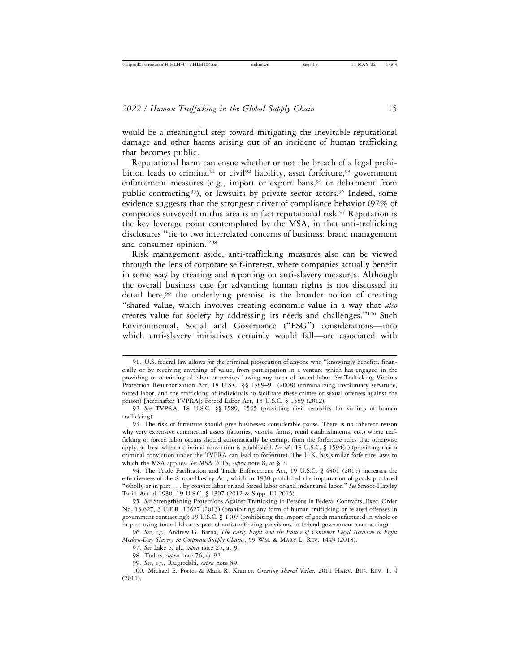would be a meaningful step toward mitigating the inevitable reputational damage and other harms arising out of an incident of human trafficking that becomes public.

Reputational harm can ensue whether or not the breach of a legal prohibition leads to criminal<sup>91</sup> or civil<sup>92</sup> liability, asset forfeiture,<sup>93</sup> government enforcement measures (e.g., import or export bans, $94$  or debarment from public contracting<sup>95</sup>), or lawsuits by private sector actors.<sup>96</sup> Indeed, some evidence suggests that the strongest driver of compliance behavior (97% of companies surveyed) in this area is in fact reputational risk.97 Reputation is the key leverage point contemplated by the MSA, in that anti-trafficking disclosures "tie to two interrelated concerns of business: brand management and consumer opinion."<sup>98</sup>

Risk management aside, anti-trafficking measures also can be viewed through the lens of corporate self-interest, where companies actually benefit in some way by creating and reporting on anti-slavery measures. Although the overall business case for advancing human rights is not discussed in detail here,<sup>99</sup> the underlying premise is the broader notion of creating "shared value, which involves creating economic value in a way that *also* creates value for society by addressing its needs and challenges."100 Such Environmental, Social and Governance ("ESG") considerations—into which anti-slavery initiatives certainly would fall—are associated with

<sup>91.</sup> U.S. federal law allows for the criminal prosecution of anyone who "knowingly benefits, financially or by receiving anything of value, from participation in a venture which has engaged in the providing or obtaining of labor or services" using any form of forced labor. *See* Trafficking Victims Protection Reauthorization Act, 18 U.S.C. §§ 1589–91 (2008) (criminalizing involuntary servitude, forced labor, and the trafficking of individuals to facilitate these crimes or sexual offenses against the person) [hereinafter TVPRA]; Forced Labor Act, 18 U.S.C. § 1589 (2012).

<sup>92.</sup> *See* TVPRA, 18 U.S.C. §§ 1589, 1595 (providing civil remedies for victims of human trafficking).

<sup>93.</sup> The risk of forfeiture should give businesses considerable pause. There is no inherent reason why very expensive commercial assets (factories, vessels, farms, retail establishments, etc.) where trafficking or forced labor occurs should automatically be exempt from the forfeiture rules that otherwise apply, at least when a criminal conviction is established. *See id.*; 18 U.S.C. § 1594(d) (providing that a criminal conviction under the TVPRA can lead to forfeiture). The U.K. has similar forfeiture laws to which the MSA applies. *See* MSA 2015, *supra* note 8, at § 7.

<sup>94.</sup> The Trade Facilitation and Trade Enforcement Act, 19 U.S.C. § 4301 (2015) increases the effectiveness of the Smoot-Hawley Act, which in 1930 prohibited the importation of goods produced "wholly or in part . . . by convict labor or/and forced labor or/and indentured labor." *See* Smoot-Hawley Tariff Act of 1930, 19 U.S.C. § 1307 (2012 & Supp. III 2015).

<sup>95.</sup> *See* Strengthening Protections Against Trafficking in Persons in Federal Contracts, Exec. Order No. 13,627, 3 C.F.R. 13627 (2013) (prohibiting any form of human trafficking or related offenses in government contracting); 19 U.S.C. § 1307 (prohibiting the import of goods manufactured in whole or in part using forced labor as part of anti-trafficking provisions in federal government contracting).

<sup>96.</sup> *See*, *e.g.*, Andrew G. Barna, *The Early Eight and the Future of Consumer Legal Activism to Fight Modern-Day Slavery in Corporate Supply Chains*, 59 WM. & MARY L. REV. 1449 (2018).

<sup>97.</sup> *See* Lake et al., *supra* note 25, at 9.

<sup>98.</sup> Todres, *supra* note 76, at 92.

<sup>99.</sup> *See*, *e.g.*, Raigrodski, *supra* note 89.

<sup>100.</sup> Michael E. Porter & Mark R. Kramer, *Creating Shared Value*, 2011 HARV. BUS. REV. 1, 4 (2011).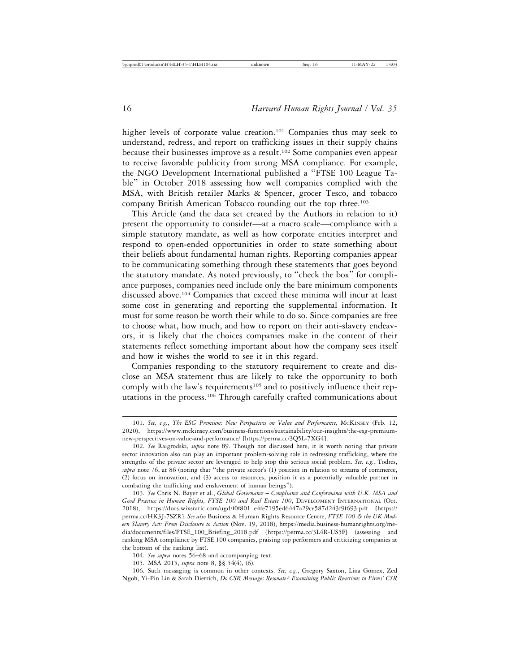higher levels of corporate value creation.<sup>101</sup> Companies thus may seek to understand, redress, and report on trafficking issues in their supply chains because their businesses improve as a result.102 Some companies even appear to receive favorable publicity from strong MSA compliance. For example, the NGO Development International published a "FTSE 100 League Table" in October 2018 assessing how well companies complied with the MSA, with British retailer Marks & Spencer, grocer Tesco, and tobacco company British American Tobacco rounding out the top three.103

This Article (and the data set created by the Authors in relation to it) present the opportunity to consider—at a macro scale—compliance with a simple statutory mandate, as well as how corporate entities interpret and respond to open-ended opportunities in order to state something about their beliefs about fundamental human rights. Reporting companies appear to be communicating something through these statements that goes beyond the statutory mandate. As noted previously, to "check the box" for compliance purposes, companies need include only the bare minimum components discussed above.104 Companies that exceed these minima will incur at least some cost in generating and reporting the supplemental information. It must for some reason be worth their while to do so. Since companies are free to choose what, how much, and how to report on their anti-slavery endeavors, it is likely that the choices companies make in the content of their statements reflect something important about how the company sees itself and how it wishes the world to see it in this regard.

Companies responding to the statutory requirement to create and disclose an MSA statement thus are likely to take the opportunity to both comply with the law's requirements<sup>105</sup> and to positively influence their reputations in the process.<sup>106</sup> Through carefully crafted communications about

106. Such messaging is common in other contexts. *See, e.g.*, Gregory Saxton, Lina Gomex, Zed Ngoh, Yi-Pin Lin & Sarah Dietrich, *Do CSR Messages Resonate? Examining Public Reactions to Firms' CSR*

<sup>101.</sup> *See, e.g.*, *The ESG Premium: New Perspectives on Value and Performance*, MCKINSEY (Feb. 12, 2020), https://www.mckinsey.com/business-functions/sustainability/our-insights/the-esg-premiumnew-perspectives-on-value-and-performance/ [https://perma.cc/3Q5L-7XG4].

<sup>102.</sup> *See* Raigrodski, *supra* note 89. Though not discussed here, it is worth noting that private sector innovation also can play an important problem-solving role in redressing trafficking, where the strengths of the private sector are leveraged to help stop this serious social problem. *See, e.g.*, Todres, *supra* note 76, at 86 (noting that "the private sector's (1) position in relation to streams of commerce, (2) focus on innovation, and (3) access to resources, position it as a potentially valuable partner in combating the trafficking and enslavement of human beings").

<sup>103.</sup> *See* Chris N. Bayer et al., *Global Governance* – *Compliance and Conformance with U.K. MSA and Good Practice in Human Rights, FTSE 100 and Real Estate 100*, DEVELOPMENT INTERNATIONAL (Oct. 2018), https://docs.wixstatic.com/ugd/f0f801\_e4fe7195ed6447a29ce587d243f9f693.pdf [https:// perma.cc/HK3J-7SZR]. *See also* Business & Human Rights Resource Centre, *FTSE 100 & the UK Modern Slavery Act: From Disclosure to Action* (Nov. 19, 2018), https://media.business-humanrights.org/media/documents/files/FTSE\_100\_Briefing\_2018.pdf [https://perma.cc/3L4R-US5F] (assessing and ranking MSA compliance by FTSE 100 companies, praising top performers and criticizing companies at the bottom of the ranking list).

<sup>104.</sup> *See supra* notes 56–68 and accompanying text.

<sup>105.</sup> MSA 2015, *supra* note 8, §§ 54(4), (6).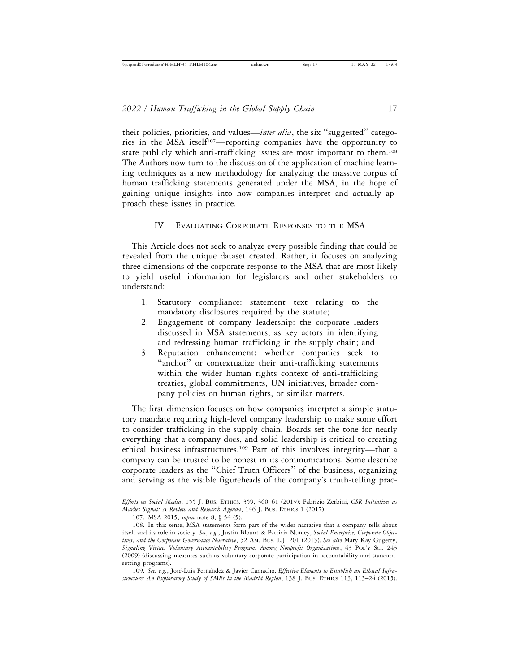their policies, priorities, and values—*inter alia*, the six "suggested" categories in the MSA itself107—reporting companies have the opportunity to state publicly which anti-trafficking issues are most important to them.<sup>108</sup> The Authors now turn to the discussion of the application of machine learning techniques as a new methodology for analyzing the massive corpus of human trafficking statements generated under the MSA, in the hope of gaining unique insights into how companies interpret and actually approach these issues in practice.

#### IV. EVALUATING CORPORATE RESPONSES TO THE MSA

This Article does not seek to analyze every possible finding that could be revealed from the unique dataset created. Rather, it focuses on analyzing three dimensions of the corporate response to the MSA that are most likely to yield useful information for legislators and other stakeholders to understand:

- 1. Statutory compliance: statement text relating to the mandatory disclosures required by the statute;
- 2. Engagement of company leadership: the corporate leaders discussed in MSA statements, as key actors in identifying and redressing human trafficking in the supply chain; and
- 3. Reputation enhancement: whether companies seek to "anchor" or contextualize their anti-trafficking statements within the wider human rights context of anti-trafficking treaties, global commitments, UN initiatives, broader company policies on human rights, or similar matters.

The first dimension focuses on how companies interpret a simple statutory mandate requiring high-level company leadership to make some effort to consider trafficking in the supply chain. Boards set the tone for nearly everything that a company does, and solid leadership is critical to creating ethical business infrastructures.109 Part of this involves integrity—that a company can be trusted to be honest in its communications. Some describe corporate leaders as the "Chief Truth Officers" of the business, organizing and serving as the visible figureheads of the company's truth-telling prac-

*Efforts on Social Media*, 155 J. BUS. ETHICS. 359, 360–61 (2019); Fabrizio Zerbini, *CSR Initiatives as Market Signal: A Review and Research Agenda*, 146 J. BUS. ETHICS 1 (2017).

<sup>107.</sup> MSA 2015, *supra* note 8, § 54 (5).

<sup>108.</sup> In this sense, MSA statements form part of the wider narrative that a company tells about itself and its role in society. *See, e.g.*, Justin Blount & Patricia Nunley, *Social Enterprise, Corporate Objectives, and the Corporate Governance Narrative*, 52 AM. BUS. L.J. 201 (2015). *See also* Mary Kay Gugerty, *Signaling Virtue: Voluntary Accountability Programs Among Nonprofit Organizations*, 43 POL'Y SCI. 243 (2009) (discussing measures such as voluntary corporate participation in accountability and standardsetting programs).

<sup>109.</sup> *See, e.g.*, José-Luis Fernández & Javier Camacho, Effective Elements to Establish an Ethical Infra*structure: An Exploratory Study of SMEs in the Madrid Region*, 138 J. BUS. ETHICS 113, 115–24 (2015).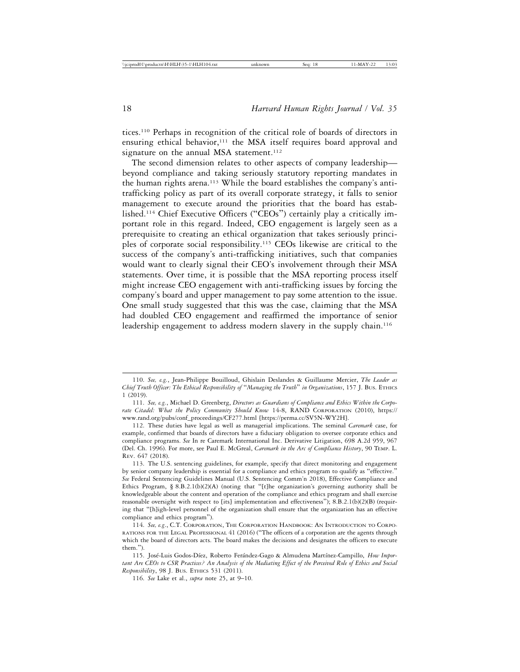tices.110 Perhaps in recognition of the critical role of boards of directors in ensuring ethical behavior,<sup>111</sup> the MSA itself requires board approval and signature on the annual MSA statement.<sup>112</sup>

The second dimension relates to other aspects of company leadership beyond compliance and taking seriously statutory reporting mandates in the human rights arena.<sup>113</sup> While the board establishes the company's antitrafficking policy as part of its overall corporate strategy, it falls to senior management to execute around the priorities that the board has established.114 Chief Executive Officers ("CEOs") certainly play a critically important role in this regard. Indeed, CEO engagement is largely seen as a prerequisite to creating an ethical organization that takes seriously principles of corporate social responsibility.115 CEOs likewise are critical to the success of the company's anti-trafficking initiatives, such that companies would want to clearly signal their CEO's involvement through their MSA statements. Over time, it is possible that the MSA reporting process itself might increase CEO engagement with anti-trafficking issues by forcing the company's board and upper management to pay some attention to the issue. One small study suggested that this was the case, claiming that the MSA had doubled CEO engagement and reaffirmed the importance of senior leadership engagement to address modern slavery in the supply chain.<sup>116</sup>

<sup>110.</sup> *See, e.g.*, Jean-Philippe Bouilloud, Ghislain Deslandes & Guillaume Mercier, *The Leader as Chief Truth Officer: The Ethical Responsibility of* "*Managing the Truth*" *in Organizations*, 157 J. BUS. ETHICS 1 (2019).

<sup>111.</sup> *See, e.g.*, Michael D. Greenberg, *Directors as Guardians of Compliance and Ethics Within the Corporate Citadel: What the Policy Community Should Know* 14-8, RAND CORPORATION (2010), https:// www.rand.org/pubs/conf\_proceedings/CF277.html [https://perma.cc/SV5N-WY2H].

<sup>112.</sup> These duties have legal as well as managerial implications. The seminal *Caremark* case, for example, confirmed that boards of directors have a fiduciary obligation to oversee corporate ethics and compliance programs. *See* In re Caremark International Inc. Derivative Litigation, 698 A.2d 959, 967 (Del. Ch. 1996). For more, see Paul E. McGreal, *Caremark in the Arc of Compliance History*, 90 TEMP. L. REV. 647 (2018).

<sup>113.</sup> The U.S. sentencing guidelines, for example, specify that direct monitoring and engagement by senior company leadership is essential for a compliance and ethics program to qualify as "effective." *See* Federal Sentencing Guidelines Manual (U.S. Sentencing Comm'n 2018), Effective Compliance and Ethics Program, § 8.B.2.1(b)(2)(A) (noting that "[t]he organization's governing authority shall be knowledgeable about the content and operation of the compliance and ethics program and shall exercise reasonable oversight with respect to [its] implementation and effectiveness"); 8.B.2.1(b)(2)(B) (requiring that "[h]igh-level personnel of the organization shall ensure that the organization has an effective compliance and ethics program").

<sup>114.</sup> *See, e.g*., C.T. CORPORATION, THE CORPORATION HANDBOOK: AN INTRODUCTION TO CORPO-RATIONS FOR THE LEGAL PROFESSIONAL 41 (2016) ("The officers of a corporation are the agents through which the board of directors acts. The board makes the decisions and designates the officers to execute them.").

<sup>115.</sup> José-Luis Godos-Díez, Roberto Ferández-Gago & Almudena Martínez-Campillo, How Impor*tant Are CEOs to CSR Practices? An Analysis of the Mediating Effect of the Perceived Role of Ethics and Social Responsibility*, 98 J. BUS. ETHICS 531 (2011).

<sup>116.</sup> *See* Lake et al., *supra* note 25, at 9–10.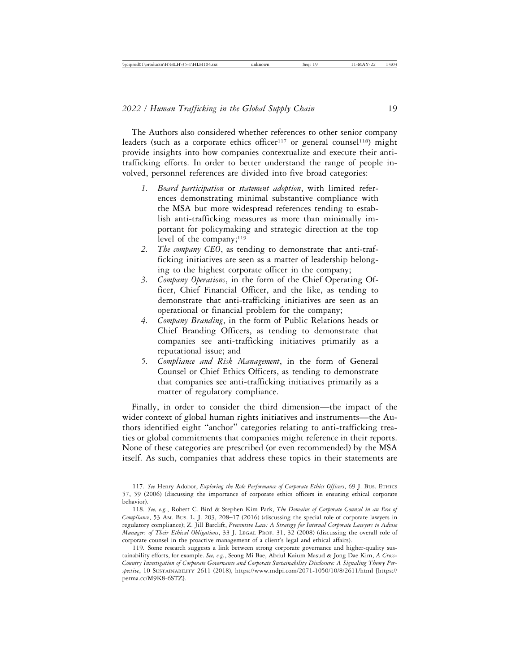The Authors also considered whether references to other senior company leaders (such as a corporate ethics officer<sup>117</sup> or general counsel<sup>118</sup>) might provide insights into how companies contextualize and execute their antitrafficking efforts. In order to better understand the range of people involved, personnel references are divided into five broad categories:

- *1. Board participation* or *statement adoption*, with limited references demonstrating minimal substantive compliance with the MSA but more widespread references tending to establish anti-trafficking measures as more than minimally important for policymaking and strategic direction at the top level of the company; $119$
- *2. The company CEO*, as tending to demonstrate that anti-trafficking initiatives are seen as a matter of leadership belonging to the highest corporate officer in the company;
- *3. Company Operations*, in the form of the Chief Operating Officer, Chief Financial Officer, and the like, as tending to demonstrate that anti-trafficking initiatives are seen as an operational or financial problem for the company;
- *4. Company Branding*, in the form of Public Relations heads or Chief Branding Officers, as tending to demonstrate that companies see anti-trafficking initiatives primarily as a reputational issue; and
- *5. Compliance and Risk Management*, in the form of General Counsel or Chief Ethics Officers, as tending to demonstrate that companies see anti-trafficking initiatives primarily as a matter of regulatory compliance.

Finally, in order to consider the third dimension—the impact of the wider context of global human rights initiatives and instruments—the Authors identified eight "anchor" categories relating to anti-trafficking treaties or global commitments that companies might reference in their reports. None of these categories are prescribed (or even recommended) by the MSA itself. As such, companies that address these topics in their statements are

<sup>117.</sup> *See* Henry Adobor, *Exploring the Role Performance of Corporate Ethics Officers*, 69 J. BUS. ETHICS 57, 59 (2006) (discussing the importance of corporate ethics officers in ensuring ethical corporate behavior).

<sup>118.</sup> *See, e.g.*, Robert C. Bird & Stephen Kim Park, *The Domains of Corporate Counsel in an Era of Compliance*, 53 AM. BUS. L. J. 203, 208–17 (2016) (discussing the special role of corporate lawyers in regulatory compliance); Z. Jill Barclift, *Preventive Law: A Strategy for Internal Corporate Lawyers to Advise Managers of Their Ethical Obligations*, 33 J. LEGAL PROF. 31, 32 (2008) (discussing the overall role of corporate counsel in the proactive management of a client's legal and ethical affairs).

<sup>119.</sup> Some research suggests a link between strong corporate governance and higher-quality sustainability efforts, for example. *See, e.g.*, Seong Mi Bae, Abdul Kaium Masud & Jong Dae Kim, *A Cross-Country Investigation of Corporate Governance and Corporate Sustainability Disclosure: A Signaling Theory Perspective*, 10 SUSTAINABILITY 2611 (2018), https://www.mdpi.com/2071-1050/10/8/2611/html [https:// perma.cc/M9K8-6STZ].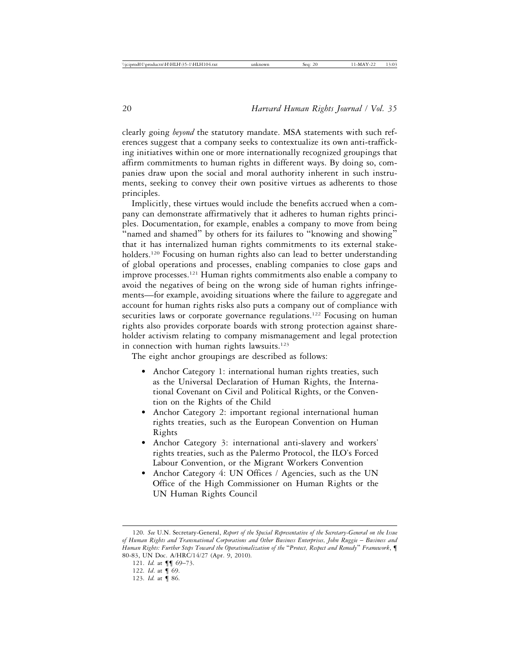clearly going *beyond* the statutory mandate. MSA statements with such references suggest that a company seeks to contextualize its own anti-trafficking initiatives within one or more internationally recognized groupings that affirm commitments to human rights in different ways. By doing so, companies draw upon the social and moral authority inherent in such instruments, seeking to convey their own positive virtues as adherents to those principles.

Implicitly, these virtues would include the benefits accrued when a company can demonstrate affirmatively that it adheres to human rights principles. Documentation, for example, enables a company to move from being "named and shamed" by others for its failures to "knowing and showing" that it has internalized human rights commitments to its external stakeholders.<sup>120</sup> Focusing on human rights also can lead to better understanding of global operations and processes, enabling companies to close gaps and improve processes.121 Human rights commitments also enable a company to avoid the negatives of being on the wrong side of human rights infringements—for example, avoiding situations where the failure to aggregate and account for human rights risks also puts a company out of compliance with securities laws or corporate governance regulations.<sup>122</sup> Focusing on human rights also provides corporate boards with strong protection against shareholder activism relating to company mismanagement and legal protection in connection with human rights lawsuits.<sup>123</sup>

The eight anchor groupings are described as follows:

- Anchor Category 1: international human rights treaties, such as the Universal Declaration of Human Rights, the International Covenant on Civil and Political Rights, or the Convention on the Rights of the Child
- Anchor Category 2: important regional international human rights treaties, such as the European Convention on Human Rights
- Anchor Category 3: international anti-slavery and workers' rights treaties, such as the Palermo Protocol, the ILO's Forced Labour Convention, or the Migrant Workers Convention
- Anchor Category 4: UN Offices / Agencies, such as the UN Office of the High Commissioner on Human Rights or the UN Human Rights Council

<sup>120.</sup> *See* U.N. Secretary-General, *Report of the Special Representative of the Secretary-General on the Issue* of Human Rights and Transnational Corporations and Other Business Enterprises, John Ruggie – Business and *Human Rights: Further Steps Toward the Operationalization of the* "*Protect, Respect and Remedy*" *Framework*, ¶ 80-83, UN Doc. A/HRC/14/27 (Apr. 9, 2010).

<sup>121.</sup> *Id.* at  $\P\P$  69-73.

<sup>122.</sup> *Id*. at ¶ 69.

<sup>123.</sup> *Id.* at ¶ 86.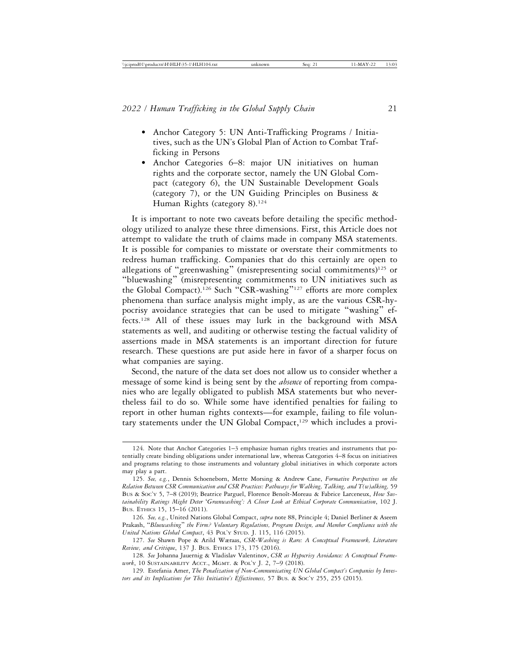- Anchor Category 5: UN Anti-Trafficking Programs / Initiatives, such as the UN's Global Plan of Action to Combat Trafficking in Persons
- Anchor Categories 6–8: major UN initiatives on human rights and the corporate sector, namely the UN Global Compact (category 6), the UN Sustainable Development Goals (category 7), or the UN Guiding Principles on Business & Human Rights (category 8).<sup>124</sup>

It is important to note two caveats before detailing the specific methodology utilized to analyze these three dimensions. First, this Article does not attempt to validate the truth of claims made in company MSA statements. It is possible for companies to misstate or overstate their commitments to redress human trafficking. Companies that do this certainly are open to allegations of "greenwashing" (misrepresenting social commitments)<sup>125</sup> or "bluewashing" (misrepresenting commitments to UN initiatives such as the Global Compact).<sup>126</sup> Such "CSR-washing"<sup>127</sup> efforts are more complex phenomena than surface analysis might imply, as are the various CSR-hypocrisy avoidance strategies that can be used to mitigate "washing" effects.128 All of these issues may lurk in the background with MSA statements as well, and auditing or otherwise testing the factual validity of assertions made in MSA statements is an important direction for future research. These questions are put aside here in favor of a sharper focus on what companies are saying.

Second, the nature of the data set does not allow us to consider whether a message of some kind is being sent by the *absence* of reporting from companies who are legally obligated to publish MSA statements but who nevertheless fail to do so. While some have identified penalties for failing to report in other human rights contexts—for example, failing to file voluntary statements under the UN Global Compact,<sup>129</sup> which includes a provi-

<sup>124.</sup> Note that Anchor Categories 1–3 emphasize human rights treaties and instruments that potentially create binding obligations under international law, whereas Categories 4–8 focus on initiatives and programs relating to those instruments and voluntary global initiatives in which corporate actors may play a part.

<sup>125.</sup> *See, e.g.*, Dennis Schoeneborn, Mette Morsing & Andrew Cane, *Formative Perspectives on the Relation Between CSR Communication and CSR Practices: Pathways for Walking, Talking, and T(w)alking,* 59 Bus & Soc'y 5, 7-8 (2019); Beatrice Parguel, Florence Benoît-Moreau & Fabrice Larceneux, *How Sustainability Ratings Might Deter* '*Greenwashing': A Closer Look at Ethical Corporate Communication*, 102 J. BUS. ETHICS 15, 15–16 (2011).

<sup>126.</sup> *See, e.g.*, United Nations Global Compact, *supra* note 88, Principle 4; Daniel Berliner & Aseem Prakash, "*Bluewashing*" *the Firm? Voluntary Regulations, Program Design, and Member Compliance with the United Nations Global Compact*, 43 POL'Y STUD. J. 115, 116 (2015).

<sup>127.</sup> *See* Shawn Pope & Arild Wæraas, *CSR-Washing is Rare: A Conceptual Framework, Literature Review, and Critique*, 137 J. BUS. ETHICS 173, 175 (2016).

<sup>128.</sup> *See* Johanna Jauernig & Vladislav Valentinov, *CSR as Hypocrisy Avoidance: A Conceptual Framework*, 10 SUSTAINABILITY ACCT., MGMT. & POL'Y J. 2, 7–9 (2018).

<sup>129.</sup> Estefania Amer, *The Penalization of Non-Communicating UN Global Compact's Companies by Inves*tors and its Implications for This Initiative's Effectiveness, 57 Bus. & Soc'y 255, 255 (2015).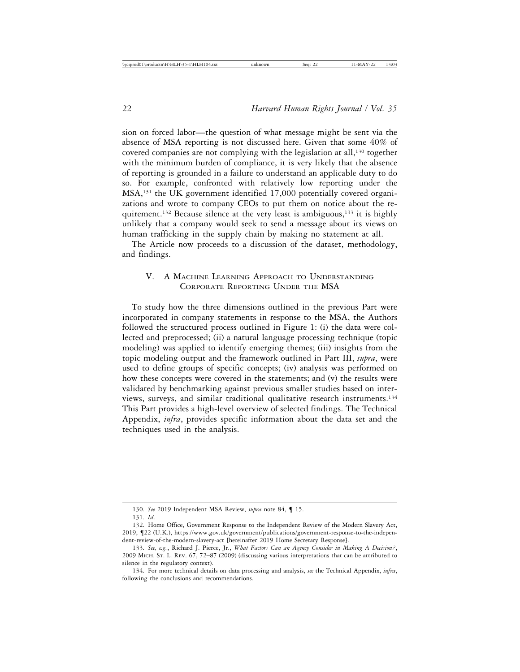sion on forced labor—the question of what message might be sent via the absence of MSA reporting is not discussed here. Given that some 40% of covered companies are not complying with the legislation at all,130 together with the minimum burden of compliance, it is very likely that the absence of reporting is grounded in a failure to understand an applicable duty to do so. For example, confronted with relatively low reporting under the MSA,131 the UK government identified 17,000 potentially covered organizations and wrote to company CEOs to put them on notice about the requirement.<sup>132</sup> Because silence at the very least is ambiguous,<sup>133</sup> it is highly unlikely that a company would seek to send a message about its views on human trafficking in the supply chain by making no statement at all.

The Article now proceeds to a discussion of the dataset, methodology, and findings.

## V. A MACHINE LEARNING APPROACH TO UNDERSTANDING CORPORATE REPORTING UNDER THE MSA

To study how the three dimensions outlined in the previous Part were incorporated in company statements in response to the MSA, the Authors followed the structured process outlined in Figure 1: (i) the data were collected and preprocessed; (ii) a natural language processing technique (topic modeling) was applied to identify emerging themes; (iii) insights from the topic modeling output and the framework outlined in Part III, *supra*, were used to define groups of specific concepts; (iv) analysis was performed on how these concepts were covered in the statements; and (v) the results were validated by benchmarking against previous smaller studies based on interviews, surveys, and similar traditional qualitative research instruments.134 This Part provides a high-level overview of selected findings. The Technical Appendix, *infra*, provides specific information about the data set and the techniques used in the analysis.

<sup>130.</sup> *See* 2019 Independent MSA Review, *supra* note 84, ¶ 15.

<sup>131.</sup> *Id*.

<sup>132.</sup> Home Office, Government Response to the Independent Review of the Modern Slavery Act, 2019, ¶22 (U.K.), https://www.gov.uk/government/publications/government-response-to-the-independent-review-of-the-modern-slavery-act [hereinafter 2019 Home Secretary Response].

<sup>133.</sup> *See, e.g.*, Richard J. Pierce, Jr., *What Factors Can an Agency Consider in Making A Decision?*, 2009 MICH. ST. L. REV. 67, 72–87 (2009) (discussing various interpretations that can be attributed to silence in the regulatory context).

<sup>134.</sup> For more technical details on data processing and analysis, *see* the Technical Appendix, *infra*, following the conclusions and recommendations.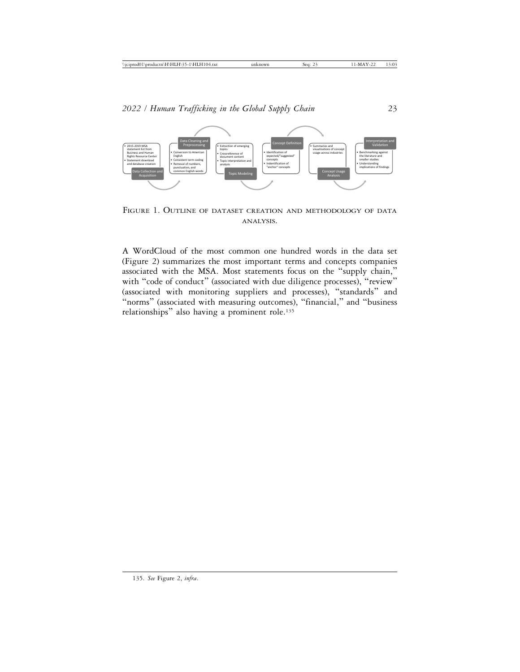

FIGURE 1. OUTLINE OF DATASET CREATION AND METHODOLOGY OF DATA ANALYSIS.

A WordCloud of the most common one hundred words in the data set (Figure 2) summarizes the most important terms and concepts companies associated with the MSA. Most statements focus on the "supply chain," with "code of conduct" (associated with due diligence processes), "review" (associated with monitoring suppliers and processes), "standards" and "norms" (associated with measuring outcomes), "financial," and "business relationships" also having a prominent role.<sup>135</sup>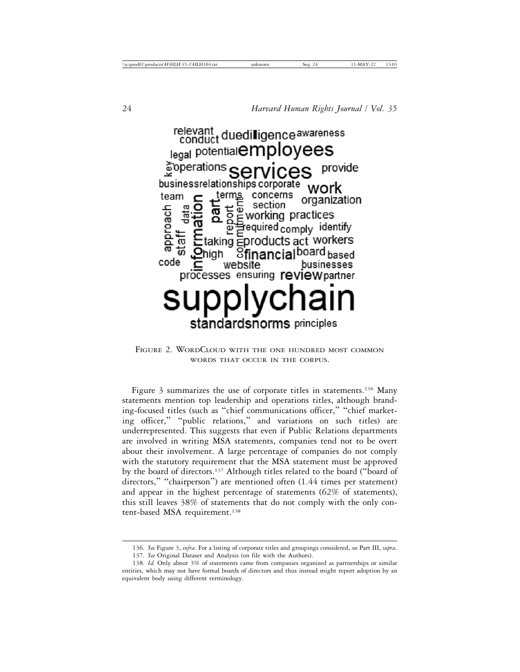

FIGURE 2. WORDCLOUD WITH THE ONE HUNDRED MOST COMMON WORDS THAT OCCUR IN THE CORPUS.

Figure 3 summarizes the use of corporate titles in statements.<sup>136</sup> Many statements mention top leadership and operations titles, although branding-focused titles (such as "chief communications officer," "chief marketing officer," "public relations," and variations on such titles) are underrepresented. This suggests that even if Public Relations departments are involved in writing MSA statements, companies tend not to be overt about their involvement. A large percentage of companies do not comply with the statutory requirement that the MSA statement must be approved by the board of directors.137 Although titles related to the board ("board of directors," "chairperson") are mentioned often (1.44 times per statement) and appear in the highest percentage of statements (62% of statements), this still leaves 38% of statements that do not comply with the only content-based MSA requirement.<sup>138</sup>

<sup>136.</sup> *See* Figure 3, *infra*. For a listing of corporate titles and groupings considered, *see* Part III, *supra*. 137. *See* Original Dataset and Analysis (on file with the Authors).

<sup>138.</sup> *Id.* Only about 3% of statements came from companies organized as partnerships or similar entities, which may not have formal boards of directors and thus instead might report adoption by an equivalent body using different terminology.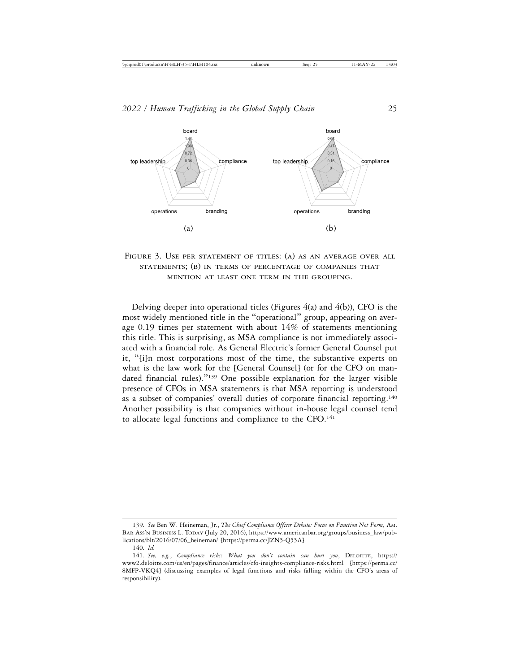

FIGURE 3. USE PER STATEMENT OF TITLES: (A) AS AN AVERAGE OVER ALL STATEMENTS; (B) IN TERMS OF PERCENTAGE OF COMPANIES THAT MENTION AT LEAST ONE TERM IN THE GROUPING.

Delving deeper into operational titles (Figures  $4(a)$  and  $4(b)$ ), CFO is the most widely mentioned title in the "operational" group, appearing on average 0.19 times per statement with about 14% of statements mentioning this title. This is surprising, as MSA compliance is not immediately associated with a financial role. As General Electric's former General Counsel put it, "[i]n most corporations most of the time, the substantive experts on what is the law work for the [General Counsel] (or for the CFO on mandated financial rules)."139 One possible explanation for the larger visible presence of CFOs in MSA statements is that MSA reporting is understood as a subset of companies' overall duties of corporate financial reporting.<sup>140</sup> Another possibility is that companies without in-house legal counsel tend to allocate legal functions and compliance to the CFO.<sup>141</sup>

<sup>139.</sup> *See* Ben W. Heineman, Jr., *The Chief Compliance Officer Debate: Focus on Function Not Form*, AM. BAR ASS'N BUSINESS L. TODAY (July 20, 2016), https://www.americanbar.org/groups/business\_law/publications/blt/2016/07/06\_heineman/ [https://perma.cc/JZN5-Q55A].

<sup>140.</sup> *Id.*

<sup>141.</sup> *See, e.g.*, *Compliance risks: What you don't contain can hurt you*, DELOITTE, https:// www2.deloitte.com/us/en/pages/finance/articles/cfo-insights-compliance-risks.html [https://perma.cc/ 8MFP-VKQ4] (discussing examples of legal functions and risks falling within the CFO's areas of responsibility).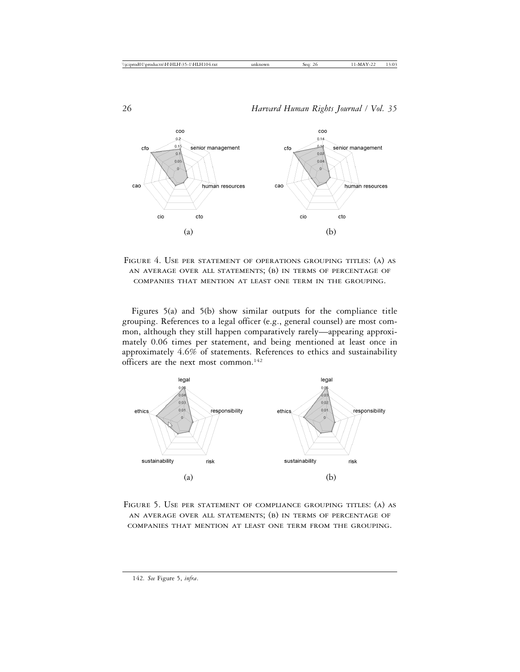

FIGURE 4. USE PER STATEMENT OF OPERATIONS GROUPING TITLES: (A) AS AN AVERAGE OVER ALL STATEMENTS; (B) IN TERMS OF PERCENTAGE OF COMPANIES THAT MENTION AT LEAST ONE TERM IN THE GROUPING.

Figures 5(a) and 5(b) show similar outputs for the compliance title grouping. References to a legal officer (e.g., general counsel) are most common, although they still happen comparatively rarely—appearing approximately 0.06 times per statement, and being mentioned at least once in approximately 4.6% of statements. References to ethics and sustainability officers are the next most common.142



FIGURE 5. USE PER STATEMENT OF COMPLIANCE GROUPING TITLES: (A) AS AN AVERAGE OVER ALL STATEMENTS; (B) IN TERMS OF PERCENTAGE OF COMPANIES THAT MENTION AT LEAST ONE TERM FROM THE GROUPING.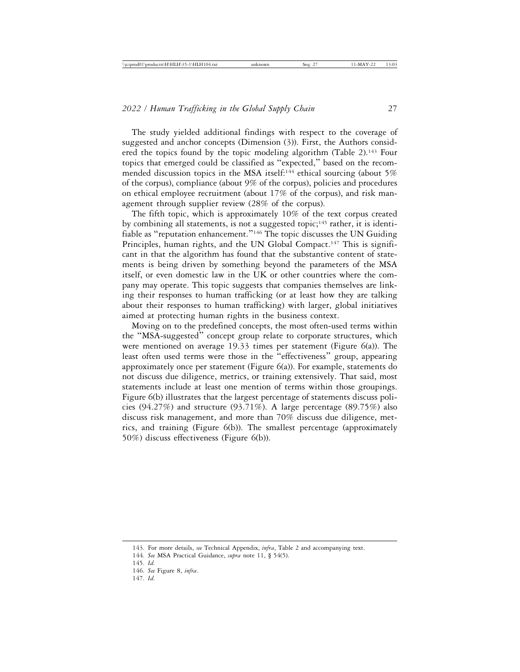The study yielded additional findings with respect to the coverage of suggested and anchor concepts (Dimension (3)). First, the Authors considered the topics found by the topic modeling algorithm (Table 2).<sup>143</sup> Four topics that emerged could be classified as "expected," based on the recommended discussion topics in the MSA itself:<sup>144</sup> ethical sourcing (about 5%) of the corpus), compliance (about 9% of the corpus), policies and procedures on ethical employee recruitment (about 17% of the corpus), and risk management through supplier review (28% of the corpus).

The fifth topic, which is approximately 10% of the text corpus created by combining all statements, is not a suggested topic;<sup>145</sup> rather, it is identifiable as "reputation enhancement."146 The topic discusses the UN Guiding Principles, human rights, and the UN Global Compact.<sup>147</sup> This is significant in that the algorithm has found that the substantive content of statements is being driven by something beyond the parameters of the MSA itself, or even domestic law in the UK or other countries where the company may operate. This topic suggests that companies themselves are linking their responses to human trafficking (or at least how they are talking about their responses to human trafficking) with larger, global initiatives aimed at protecting human rights in the business context.

Moving on to the predefined concepts, the most often-used terms within the "MSA-suggested" concept group relate to corporate structures, which were mentioned on average 19.33 times per statement (Figure 6(a)). The least often used terms were those in the "effectiveness" group, appearing approximately once per statement (Figure  $6(a)$ ). For example, statements do not discuss due diligence, metrics, or training extensively. That said, most statements include at least one mention of terms within those groupings. Figure 6(b) illustrates that the largest percentage of statements discuss policies (94.27%) and structure (93.71%). A large percentage (89.75%) also discuss risk management, and more than 70% discuss due diligence, metrics, and training (Figure 6(b)). The smallest percentage (approximately 50%) discuss effectiveness (Figure 6(b)).

<sup>143.</sup> For more details, *see* Technical Appendix, *infra*, Table 2 and accompanying text.

<sup>144.</sup> *See* MSA Practical Guidance, *supra* note 11, § 54(5).

<sup>145.</sup> *Id.*

<sup>146.</sup> *See* Figure 8, *infra*.

<sup>147.</sup> *Id.*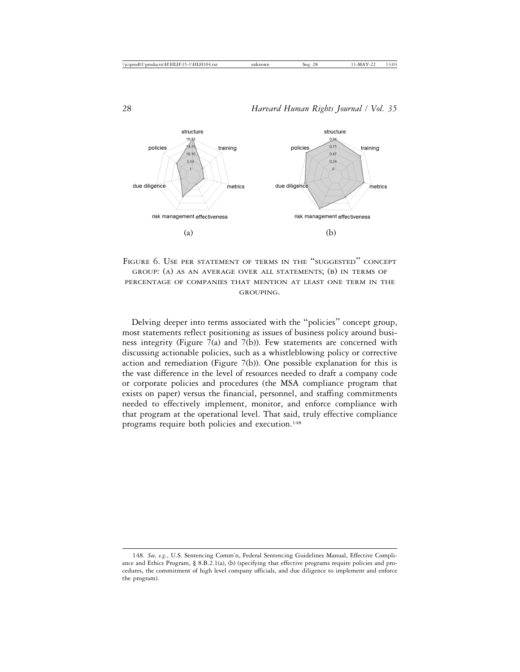

FIGURE 6. USE PER STATEMENT OF TERMS IN THE "SUGGESTED" CONCEPT GROUP: (A) AS AN AVERAGE OVER ALL STATEMENTS; (B) IN TERMS OF PERCENTAGE OF COMPANIES THAT MENTION AT LEAST ONE TERM IN THE GROUPING.

Delving deeper into terms associated with the "policies" concept group, most statements reflect positioning as issues of business policy around business integrity (Figure 7(a) and 7(b)). Few statements are concerned with discussing actionable policies, such as a whistleblowing policy or corrective action and remediation (Figure 7(b)). One possible explanation for this is the vast difference in the level of resources needed to draft a company code or corporate policies and procedures (the MSA compliance program that exists on paper) versus the financial, personnel, and staffing commitments needed to effectively implement, monitor, and enforce compliance with that program at the operational level. That said, truly effective compliance programs require both policies and execution.<sup>148</sup>

<sup>148.</sup> *See, e.g.*, U.S. Sentencing Comm'n, Federal Sentencing Guidelines Manual, Effective Compliance and Ethics Program, § 8.B.2.1(a), (b) (specifying that effective programs require policies and procedures, the commitment of high level company officials, and due diligence to implement and enforce the program).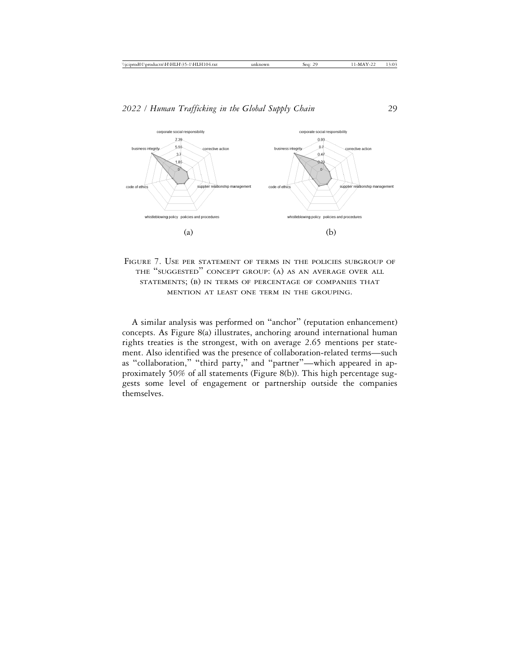

FIGURE 7. USE PER STATEMENT OF TERMS IN THE POLICIES SUBGROUP OF THE "SUGGESTED" CONCEPT GROUP: (A) AS AN AVERAGE OVER ALL STATEMENTS; (B) IN TERMS OF PERCENTAGE OF COMPANIES THAT MENTION AT LEAST ONE TERM IN THE GROUPING.

A similar analysis was performed on "anchor" (reputation enhancement) concepts. As Figure 8(a) illustrates, anchoring around international human rights treaties is the strongest, with on average 2.65 mentions per statement. Also identified was the presence of collaboration-related terms—such as "collaboration," "third party," and "partner"—which appeared in approximately 50% of all statements (Figure 8(b)). This high percentage suggests some level of engagement or partnership outside the companies themselves.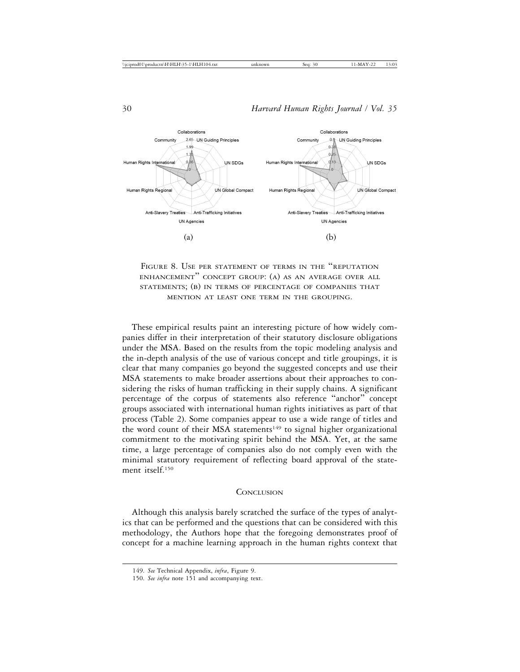

FIGURE 8. USE PER STATEMENT OF TERMS IN THE "REPUTATION ENHANCEMENT" CONCEPT GROUP: (A) AS AN AVERAGE OVER ALL STATEMENTS; (B) IN TERMS OF PERCENTAGE OF COMPANIES THAT MENTION AT LEAST ONE TERM IN THE GROUPING.

These empirical results paint an interesting picture of how widely companies differ in their interpretation of their statutory disclosure obligations under the MSA. Based on the results from the topic modeling analysis and the in-depth analysis of the use of various concept and title groupings, it is clear that many companies go beyond the suggested concepts and use their MSA statements to make broader assertions about their approaches to considering the risks of human trafficking in their supply chains. A significant percentage of the corpus of statements also reference "anchor" concept groups associated with international human rights initiatives as part of that process (Table 2). Some companies appear to use a wide range of titles and the word count of their MSA statements<sup>149</sup> to signal higher organizational commitment to the motivating spirit behind the MSA. Yet, at the same time, a large percentage of companies also do not comply even with the minimal statutory requirement of reflecting board approval of the statement itself.150

#### **CONCLUSION**

Although this analysis barely scratched the surface of the types of analytics that can be performed and the questions that can be considered with this methodology, the Authors hope that the foregoing demonstrates proof of concept for a machine learning approach in the human rights context that

<sup>149.</sup> *See* Technical Appendix, *infra*, Figure 9.

<sup>150.</sup> *See infra* note 151 and accompanying text.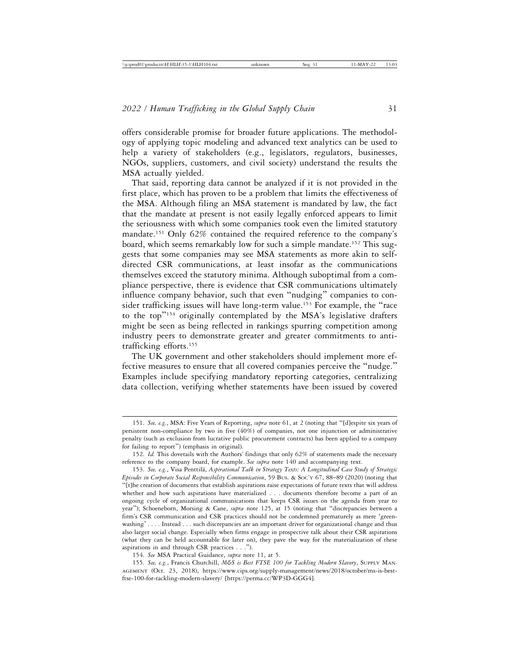offers considerable promise for broader future applications. The methodology of applying topic modeling and advanced text analytics can be used to help a variety of stakeholders (e.g., legislators, regulators, businesses, NGOs, suppliers, customers, and civil society) understand the results the MSA actually yielded.

That said, reporting data cannot be analyzed if it is not provided in the first place, which has proven to be a problem that limits the effectiveness of the MSA. Although filing an MSA statement is mandated by law, the fact that the mandate at present is not easily legally enforced appears to limit the seriousness with which some companies took even the limited statutory mandate.151 Only 62% contained the required reference to the company's board, which seems remarkably low for such a simple mandate.<sup>152</sup> This suggests that some companies may see MSA statements as more akin to selfdirected CSR communications, at least insofar as the communications themselves exceed the statutory minima. Although suboptimal from a compliance perspective, there is evidence that CSR communications ultimately influence company behavior, such that even "nudging" companies to consider trafficking issues will have long-term value.<sup>153</sup> For example, the "race to the top"154 originally contemplated by the MSA's legislative drafters might be seen as being reflected in rankings spurring competition among industry peers to demonstrate greater and greater commitments to antitrafficking efforts.155

The UK government and other stakeholders should implement more effective measures to ensure that all covered companies perceive the "nudge." Examples include specifying mandatory reporting categories, centralizing data collection, verifying whether statements have been issued by covered

154. *See* MSA Practical Guidance, *supra* note 11, at 5.

155. *See, e.g.*, Francis Churchill, *M&S is Best FTSE 100 for Tackling Modern Slavery*, SUPPLY MAN-AGEMENT (Oct. 23, 2018), https://www.cips.org/supply-management/news/2018/october/ms-is-bestftse-100-for-tackling-modern-slavery/ [https://perma.cc/WP3D-GGG4].

<sup>151.</sup> *See, e.g.*, MSA: Five Years of Reporting, *supra* note 61, at 2 (noting that "[d]espite six years of persistent non-compliance by two in five (40%) of companies, not one injunction or administrative penalty (such as exclusion from lucrative public procurement contracts) has been applied to a company for failing to report") (emphasis in original).

<sup>152.</sup> *Id.* This dovetails with the Authors' findings that only 62% of statements made the necessary reference to the company board, for example. *See supra* note 140 and accompanying text.

<sup>153.</sup> See, e.g., Visa Penttilä, Aspirational Talk in Strategy Texts: A Longitudinal Case Study of Strategic *Episodes in Corporate Social Responsibility Communication*, 59 Bus. & Soc'y 67, 88–89 (2020) (noting that "[t]he creation of documents that establish aspirations raise expectations of future texts that will address whether and how such aspirations have materialized . . . documents therefore become a part of an ongoing cycle of organizational communications that keeps CSR issues on the agenda from year to year"); Schoeneborn, Morsing & Cane, *supra* note 125, at 15 (noting that "discrepancies between a firm's CSR communication and CSR practices should not be condemned prematurely as mere 'greenwashing' . . . . Instead . . . such discrepancies are an important driver for organizational change and thus also larger social change. Especially when firms engage in prospective talk about their CSR aspirations (what they can be held accountable for later on), they pave the way for the materialization of these aspirations in and through CSR practices . . .").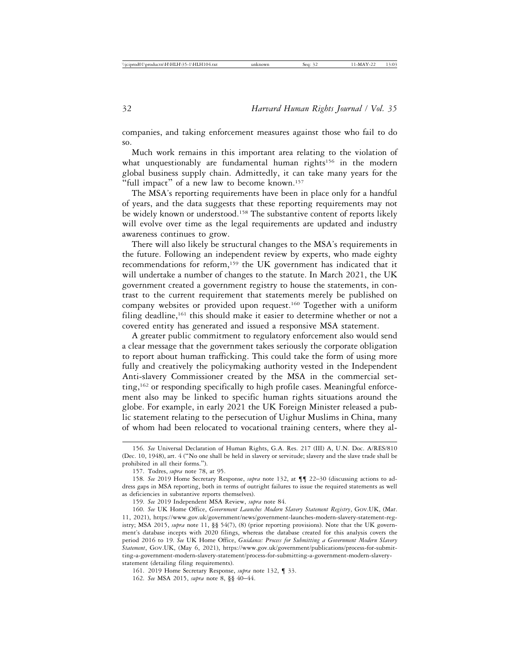companies, and taking enforcement measures against those who fail to do so.

Much work remains in this important area relating to the violation of what unquestionably are fundamental human rights<sup>156</sup> in the modern global business supply chain. Admittedly, it can take many years for the "full impact" of a new law to become known.<sup>157</sup>

The MSA's reporting requirements have been in place only for a handful of years, and the data suggests that these reporting requirements may not be widely known or understood.<sup>158</sup> The substantive content of reports likely will evolve over time as the legal requirements are updated and industry awareness continues to grow.

There will also likely be structural changes to the MSA's requirements in the future. Following an independent review by experts, who made eighty recommendations for reform,159 the UK government has indicated that it will undertake a number of changes to the statute. In March 2021, the UK government created a government registry to house the statements, in contrast to the current requirement that statements merely be published on company websites or provided upon request.160 Together with a uniform filing deadline,<sup>161</sup> this should make it easier to determine whether or not a covered entity has generated and issued a responsive MSA statement.

A greater public commitment to regulatory enforcement also would send a clear message that the government takes seriously the corporate obligation to report about human trafficking. This could take the form of using more fully and creatively the policymaking authority vested in the Independent Anti-slavery Commissioner created by the MSA in the commercial setting,162 or responding specifically to high profile cases. Meaningful enforcement also may be linked to specific human rights situations around the globe. For example, in early 2021 the UK Foreign Minister released a public statement relating to the persecution of Uighur Muslims in China, many of whom had been relocated to vocational training centers, where they al-

<sup>156.</sup> *See* Universal Declaration of Human Rights, G.A. Res. 217 (III) A, U.N. Doc. A/RES/810 (Dec. 10, 1948), art. 4 ("No one shall be held in slavery or servitude; slavery and the slave trade shall be prohibited in all their forms.").

<sup>157.</sup> Todres, *supra* note 78, at 95.

<sup>158.</sup> *See* 2019 Home Secretary Response, *supra* note 132, at ¶¶ 22–30 (discussing actions to address gaps in MSA reporting, both in terms of outright failures to issue the required statements as well as deficiencies in substantive reports themselves).

<sup>159.</sup> *See* 2019 Independent MSA Review, *supra* note 84.

<sup>160.</sup> *See* UK Home Office, *Government Launches Modern Slavery Statement Registry*, GOV.UK, (Mar. 11, 2021), https://www.gov.uk/government/news/government-launches-modern-slavery-statement-registry; MSA 2015, *supra* note 11, §§ 54(7), (8) (prior reporting provisions). Note that the UK government's database incepts with 2020 filings, whereas the database created for this analysis covers the period 2016 to 19. *See* UK Home Office, *Guidance: Process for Submitting a Government Modern Slavery Statement*, GOV.UK, (May 6, 2021), https://www.gov.uk/government/publications/process-for-submitting-a-government-modern-slavery-statement/process-for-submitting-a-government-modern-slaverystatement (detailing filing requirements).

<sup>161. 2019</sup> Home Secretary Response, *supra* note 132, ¶ 33.

<sup>162.</sup> *See* MSA 2015, *supra* note 8, §§ 40–44.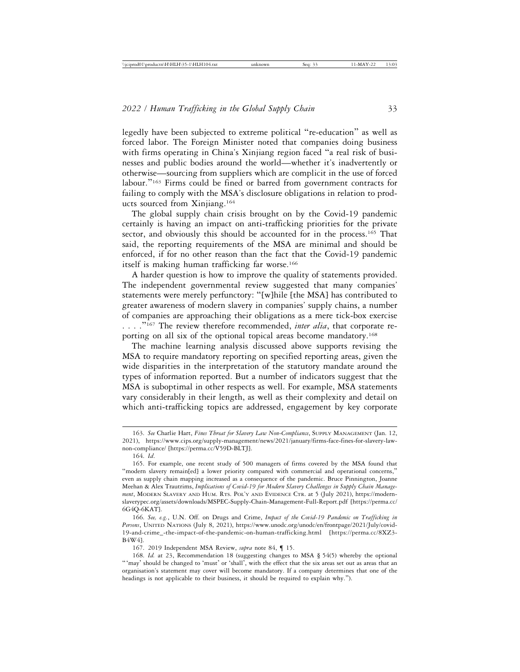legedly have been subjected to extreme political "re-education" as well as forced labor. The Foreign Minister noted that companies doing business with firms operating in China's Xinjiang region faced "a real risk of businesses and public bodies around the world—whether it's inadvertently or otherwise—sourcing from suppliers which are complicit in the use of forced labour."163 Firms could be fined or barred from government contracts for failing to comply with the MSA's disclosure obligations in relation to products sourced from Xinjiang.164

The global supply chain crisis brought on by the Covid-19 pandemic certainly is having an impact on anti-trafficking priorities for the private sector, and obviously this should be accounted for in the process.<sup>165</sup> That said, the reporting requirements of the MSA are minimal and should be enforced, if for no other reason than the fact that the Covid-19 pandemic itself is making human trafficking far worse.<sup>166</sup>

A harder question is how to improve the quality of statements provided. The independent governmental review suggested that many companies' statements were merely perfunctory: "[w]hile [the MSA] has contributed to greater awareness of modern slavery in companies' supply chains, a number of companies are approaching their obligations as a mere tick-box exercise . . . . "<sup>167</sup> The review therefore recommended, *inter alia*, that corporate reporting on all six of the optional topical areas become mandatory.168

The machine learning analysis discussed above supports revising the MSA to require mandatory reporting on specified reporting areas, given the wide disparities in the interpretation of the statutory mandate around the types of information reported. But a number of indicators suggest that the MSA is suboptimal in other respects as well. For example, MSA statements vary considerably in their length, as well as their complexity and detail on which anti-trafficking topics are addressed, engagement by key corporate

<sup>163.</sup> *See* Charlie Hart, *Fines Threat for Slavery Law Non-Compliance*, SUPPLY MANAGEMENT (Jan. 12, 2021), https://www.cips.org/supply-management/news/2021/january/firms-face-fines-for-slavery-lawnon-compliance/ [https://perma.cc/V59D-BLTJ].

<sup>164.</sup> *Id*.

<sup>165.</sup> For example, one recent study of 500 managers of firms covered by the MSA found that "modern slavery remain[ed] a lower priority compared with commercial and operational concerns," even as supply chain mapping increased as a consequence of the pandemic. Bruce Pinnington, Joanne Meehan & Alex Trautrims, *Implications of Covid-19 for Modern Slavery Challenges in Supply Chain Management*, MODERN SLAVERY AND HUM. RTS. POL'Y AND EVIDENCE CTR. at 5 (July 2021), https://modernslaverypec.org/assets/downloads/MSPEC-Supply-Chain-Management-Full-Report.pdf [https://perma.cc/ 6G4Q-6KAT].

<sup>166.</sup> *See, e.g.*, U.N. Off. on Drugs and Crime, *Impact of the Covid-19 Pandemic on Trafficking in Persons*, UNITED NATIONS (July 8, 2021), https://www.unodc.org/unodc/en/frontpage/2021/July/covid-19-and-crime\_-the-impact-of-the-pandemic-on-human-trafficking.html [https://perma.cc/8XZ3- B4W4].

<sup>167. 2019</sup> Independent MSA Review, *supra* note 84, ¶ 15.

<sup>168.</sup> *Id.* at 23, Recommendation 18 (suggesting changes to MSA § 54(5) whereby the optional "'may' should be changed to 'must' or 'shall', with the effect that the six areas set out as areas that an organisation's statement may cover will become mandatory. If a company determines that one of the headings is not applicable to their business, it should be required to explain why.").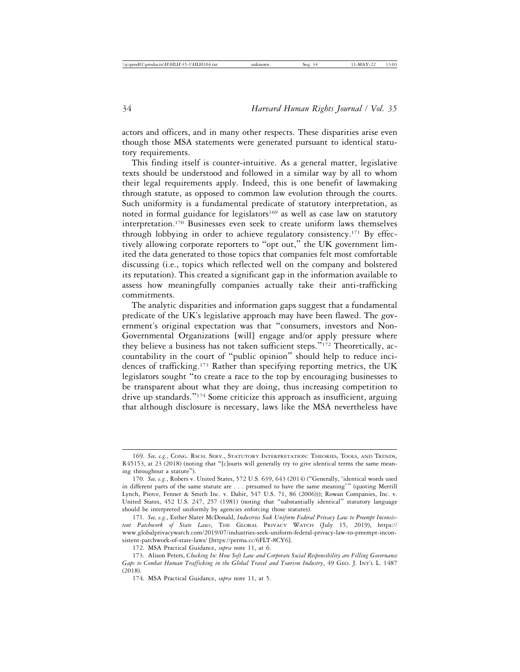actors and officers, and in many other respects. These disparities arise even though those MSA statements were generated pursuant to identical statutory requirements.

This finding itself is counter-intuitive. As a general matter, legislative texts should be understood and followed in a similar way by all to whom their legal requirements apply. Indeed, this is one benefit of lawmaking through statute, as opposed to common law evolution through the courts. Such uniformity is a fundamental predicate of statutory interpretation, as noted in formal guidance for legislators<sup>169</sup> as well as case law on statutory interpretation.170 Businesses even seek to create uniform laws themselves through lobbying in order to achieve regulatory consistency.171 By effectively allowing corporate reporters to "opt out," the UK government limited the data generated to those topics that companies felt most comfortable discussing (i.e., topics which reflected well on the company and bolstered its reputation). This created a significant gap in the information available to assess how meaningfully companies actually take their anti-trafficking commitments.

The analytic disparities and information gaps suggest that a fundamental predicate of the UK's legislative approach may have been flawed. The government's original expectation was that "consumers, investors and Non-Governmental Organizations [will] engage and/or apply pressure where they believe a business has not taken sufficient steps."172 Theoretically, accountability in the court of "public opinion" should help to reduce incidences of trafficking.173 Rather than specifying reporting metrics, the UK legislators sought "to create a race to the top by encouraging businesses to be transparent about what they are doing, thus increasing competition to drive up standards."174 Some criticize this approach as insufficient, arguing that although disclosure is necessary, laws like the MSA nevertheless have

<sup>169.</sup> *See, e.g.*, CONG. RSCH. SERV., STATUTORY INTERPRETATION: THEORIES, TOOLS, AND TRENDS, R45153, at 23 (2018) (noting that "[c]ourts will generally try to give identical terms the same meaning throughout a statute").

<sup>170.</sup> *See, e.g.*, Robers v. United States, 572 U.S. 639, 643 (2014) ("Generally, 'identical words used in different parts of the same statute are . . . presumed to have the same meaning'" (quoting Merrill Lynch, Pierce, Fenner & Smith Inc. v. Dabit, 547 U.S. 71, 86 (2006))); Rowan Companies, Inc. v. United States, 452 U.S. 247, 257 (1981) (noting that "substantially identical" statutory language should be interpreted uniformly by agencies enforcing those statutes).

<sup>171.</sup> *See, e.g.*, Esther Slater McDonald, *Industries Seek Uniform Federal Privacy Law to Preempt Inconsistent Patchwork of State Laws*, THE GLOBAL PRIVACY WATCH (July 15, 2019), https:// www.globalprivacywatch.com/2019/07/industries-seek-uniform-federal-privacy-law-to-preempt-inconsistent-patchwork-of-state-laws/ [https://perma.cc/6FLT-8CY6].

<sup>172.</sup> MSA Practical Guidance, *supra* note 11, at 6.

<sup>173.</sup> Alison Peters, *Checking In: How Soft Law and Corporate Social Responsibility are Filling Governance Gaps to Combat Human Trafficking in the Global Travel and Tourism Industry*, 49 GEO. J. INT'L L. 1487 (2018).

<sup>174.</sup> MSA Practical Guidance, *supra* note 11, at 5.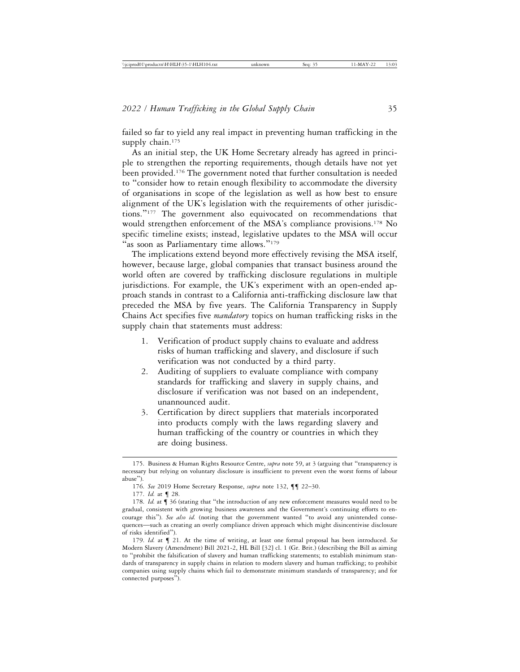failed so far to yield any real impact in preventing human trafficking in the supply chain.<sup>175</sup>

As an initial step, the UK Home Secretary already has agreed in principle to strengthen the reporting requirements, though details have not yet been provided.176 The government noted that further consultation is needed to "consider how to retain enough flexibility to accommodate the diversity of organisations in scope of the legislation as well as how best to ensure alignment of the UK's legislation with the requirements of other jurisdictions."177 The government also equivocated on recommendations that would strengthen enforcement of the MSA's compliance provisions.<sup>178</sup> No specific timeline exists; instead, legislative updates to the MSA will occur "as soon as Parliamentary time allows."<sup>179</sup>

The implications extend beyond more effectively revising the MSA itself, however, because large, global companies that transact business around the world often are covered by trafficking disclosure regulations in multiple jurisdictions. For example, the UK's experiment with an open-ended approach stands in contrast to a California anti-trafficking disclosure law that preceded the MSA by five years. The California Transparency in Supply Chains Act specifies five *mandatory* topics on human trafficking risks in the supply chain that statements must address:

- 1. Verification of product supply chains to evaluate and address risks of human trafficking and slavery, and disclosure if such verification was not conducted by a third party.
- 2. Auditing of suppliers to evaluate compliance with company standards for trafficking and slavery in supply chains, and disclosure if verification was not based on an independent, unannounced audit.
- 3. Certification by direct suppliers that materials incorporated into products comply with the laws regarding slavery and human trafficking of the country or countries in which they are doing business.

<sup>175.</sup> Business & Human Rights Resource Centre, *supra* note 59, at 3 (arguing that "transparency is necessary but relying on voluntary disclosure is insufficient to prevent even the worst forms of labour abuse").

<sup>176.</sup> *See* 2019 Home Secretary Response, *supra* note 132, ¶¶ 22–30.

<sup>177.</sup> *Id.* at ¶ 28.

<sup>178.</sup> *Id.* at ¶ 36 (stating that "the introduction of any new enforcement measures would need to be gradual, consistent with growing business awareness and the Government's continuing efforts to encourage this"). *See also id.* (noting that the government wanted "to avoid any unintended consequences—such as creating an overly compliance driven approach which might disincentivise disclosure of risks identified").

<sup>179.</sup> *Id.* at ¶ 21. At the time of writing, at least one formal proposal has been introduced. *See* Modern Slavery (Amendment) Bill 2021-2, HL Bill [32] cl. 1 (Gr. Brit.) (describing the Bill as aiming to "prohibit the falsification of slavery and human trafficking statements; to establish minimum standards of transparency in supply chains in relation to modern slavery and human trafficking; to prohibit companies using supply chains which fail to demonstrate minimum standards of transparency; and for connected purposes").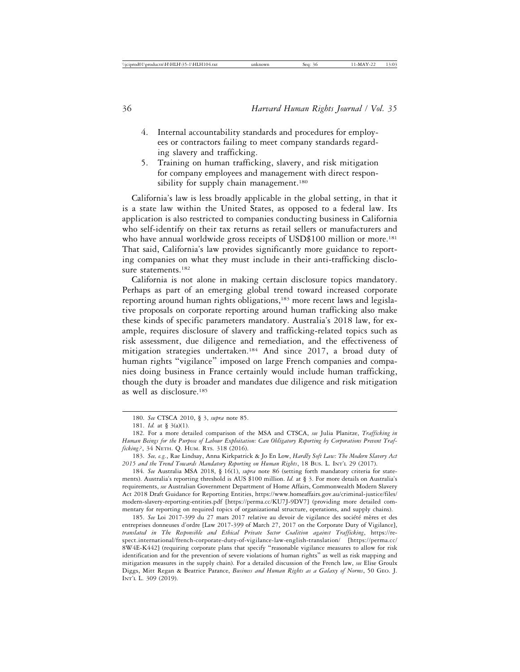- 4. Internal accountability standards and procedures for employees or contractors failing to meet company standards regarding slavery and trafficking.
- 5. Training on human trafficking, slavery, and risk mitigation for company employees and management with direct responsibility for supply chain management.<sup>180</sup>

California's law is less broadly applicable in the global setting, in that it is a state law within the United States, as opposed to a federal law. Its application is also restricted to companies conducting business in California who self-identify on their tax returns as retail sellers or manufacturers and who have annual worldwide gross receipts of USD\$100 million or more.<sup>181</sup> That said, California's law provides significantly more guidance to reporting companies on what they must include in their anti-trafficking disclosure statements.<sup>182</sup>

California is not alone in making certain disclosure topics mandatory. Perhaps as part of an emerging global trend toward increased corporate reporting around human rights obligations,<sup>183</sup> more recent laws and legislative proposals on corporate reporting around human trafficking also make these kinds of specific parameters mandatory. Australia's 2018 law, for example, requires disclosure of slavery and trafficking-related topics such as risk assessment, due diligence and remediation, and the effectiveness of mitigation strategies undertaken.184 And since 2017, a broad duty of human rights "vigilance" imposed on large French companies and companies doing business in France certainly would include human trafficking, though the duty is broader and mandates due diligence and risk mitigation as well as disclosure.185

184. *See* Australia MSA 2018, § 16(1), *supra* note 86 (setting forth mandatory criteria for statements). Australia's reporting threshold is AUS \$100 million. *Id.* at § 3. For more details on Australia's requirements, *see* Australian Government Department of Home Affairs, Commonwealth Modern Slavery Act 2018 Draft Guidance for Reporting Entities, https://www.homeaffairs.gov.au/criminal-justice/files/ modern-slavery-reporting-entities.pdf [https://perma.cc/KU7J-9DV7] (providing more detailed commentary for reporting on required topics of organizational structure, operations, and supply chains).

185. See Loi 2017-399 du 27 mars 2017 relative au devoir de vigilance des société mères et des entreprises donneuses d'ordre [Law 2017-399 of March 27, 2017 on the Corporate Duty of Vigilance], *translated in The Responsible and Ethical Private Sector Coalition against Trafficking*, https://respect.international/french-corporate-duty-of-vigilance-law-english-translation/ [https://perma.cc/ 8W4E-K442] (requiring corporate plans that specify "reasonable vigilance measures to allow for risk identification and for the prevention of severe violations of human rights" as well as risk mapping and mitigation measures in the supply chain). For a detailed discussion of the French law, *see* Elise Groulx Diggs, Mitt Regan & Beatrice Parance, *Business and Human Rights as a Galaxy of Norms*, 50 GEO. J. INT'L L. 309 (2019).

<sup>180.</sup> *See* CTSCA 2010, § 3, *supra* note 85.

<sup>181.</sup> *Id.* at § 3(a)(1).

<sup>182.</sup> For a more detailed comparison of the MSA and CTSCA, *see* Julia Planitze, *Trafficking in Human Beings for the Purpose of Labour Exploitation: Can Obligatory Reporting by Corporations Prevent Trafficking?*, 34 NETH. Q. HUM. RTS. 318 (2016).

<sup>183.</sup> *See, e.g.*, Rae Lindsay, Anna Kirkpatrick & Jo En Low, *Hardly Soft Law: The Modern Slavery Act 2015 and the Trend Towards Mandatory Reporting on Human Rights*, 18 BUS. L. INT'L 29 (2017).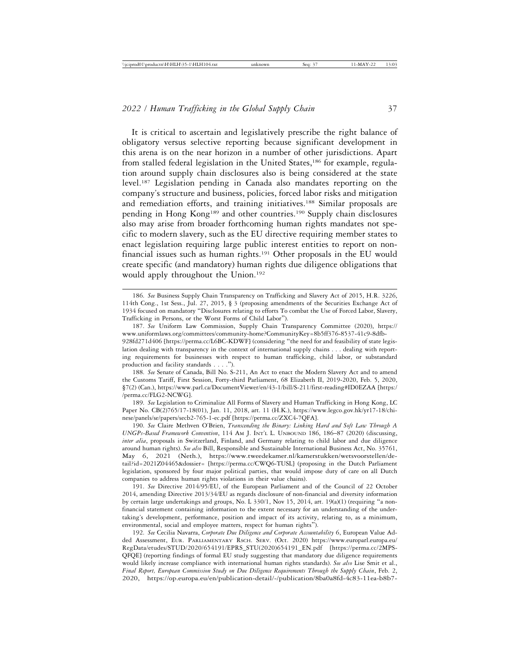It is critical to ascertain and legislatively prescribe the right balance of obligatory versus selective reporting because significant development in this arena is on the near horizon in a number of other jurisdictions. Apart from stalled federal legislation in the United States,<sup>186</sup> for example, regulation around supply chain disclosures also is being considered at the state level.187 Legislation pending in Canada also mandates reporting on the company's structure and business, policies, forced labor risks and mitigation and remediation efforts, and training initiatives.<sup>188</sup> Similar proposals are pending in Hong Kong189 and other countries.190 Supply chain disclosures also may arise from broader forthcoming human rights mandates not specific to modern slavery, such as the EU directive requiring member states to enact legislation requiring large public interest entities to report on nonfinancial issues such as human rights.<sup>191</sup> Other proposals in the EU would create specific (and mandatory) human rights due diligence obligations that would apply throughout the Union.<sup>192</sup>

189. *See* Legislation to Criminalize All Forms of Slavery and Human Trafficking in Hong Kong, LC Paper No. CB(2)765/17-18(01), Jan. 11, 2018, art. 11 (H.K.), https://www.legco.gov.hk/yr17-18/chinese/panels/se/papers/secb2-765-1-ec.pdf [https://perma.cc/ZXC4-7QFA].

190. *See* Claire Methven O'Brien, *Transcending the Binary: Linking Hard and Soft Law Through A UNGPs-Based Framework Convention*, 114 AM J. INT'L L. UNBOUND 186, 186–87 (2020) (discussing, *inter alia*, proposals in Switzerland, Finland, and Germany relating to child labor and due diligence around human rights). *See also* Bill, Responsible and Sustainable International Business Act, No. 35761, May 6, 2021 (Neth.), https://www.tweedekamer.nl/kamerstukken/wetsvoorstellen/detail?id=2021Z04465&dossier= [https://perma.cc/CWQ6-TUSL] (proposing in the Dutch Parliament legislation, sponsored by four major political parties, that would impose duty of care on all Dutch companies to address human rights violations in their value chains).

191. *See* Directive 2014/95/EU, of the European Parliament and of the Council of 22 October 2014, amending Directive 2013/34/EU as regards disclosure of non-financial and diversity information by certain large undertakings and groups, No. L 330/1, Nov 15, 2014, art. 19(a)(1) (requiring "a nonfinancial statement containing information to the extent necessary for an understanding of the undertaking's development, performance, position and impact of its activity, relating to, as a minimum, environmental, social and employee matters, respect for human rights").

192. *See* Cecilia Navarra, *Corporate Due Diligence and Corporate Accountability* 6, European Value Added Assessment, EUR. PARLIAMENTARY RSCH. SERV. (Oct. 2020) https://www.europarl.europa.eu/ RegData/etudes/STUD/2020/654191/EPRS\_STU(2020)654191\_EN.pdf [https://perma.cc/2MPS-QFQE] (reporting findings of formal EU study suggesting that mandatory due diligence requirements would likely increase compliance with international human rights standards). *See also* Lise Smit et al., *Final Report, European Commission Study on Due Diligence Requirements Through the Supply Chain*, Feb. 2, 2020, https://op.europa.eu/en/publication-detail/-/publication/8ba0a8fd-4c83-11ea-b8b7-

<sup>186.</sup> *See* Business Supply Chain Transparency on Trafficking and Slavery Act of 2015, H.R. 3226, 114th Cong., 1st Sess., Jul. 27, 2015, § 3 (proposing amendments of the Securities Exchange Act of 1934 focused on mandatory "Disclosures relating to efforts To combat the Use of Forced Labor, Slavery, Trafficking in Persons, or the Worst Forms of Child Labor").

<sup>187.</sup> *See* Uniform Law Commission, Supply Chain Transparency Committee (2020), https:// www.uniformlaws.org/committees/community-home?CommunityKey=8b5ff376-8537-41c9-8dfb-928fd271d406 [https://perma.cc/L6BC-KDWF] (considering "the need for and feasibility of state legislation dealing with transparency in the context of international supply chains . . . dealing with reporting requirements for businesses with respect to human trafficking, child labor, or substandard production and facility standards . . . .").

<sup>188.</sup> *See* Senate of Canada, Bill No. S-211, An Act to enact the Modern Slavery Act and to amend the Customs Tariff, First Session, Forty-third Parliament, 68 Elizabeth II, 2019-2020, Feb. 5, 2020, §7(2) (Can.), https://www.parl.ca/DocumentViewer/en/43-1/bill/S-211/first-reading#ID0EZAA [https:/ /perma.cc/FLG2-NCWG].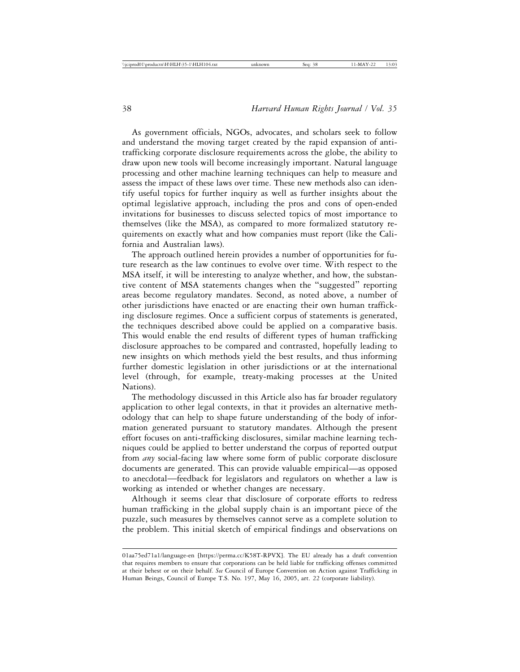As government officials, NGOs, advocates, and scholars seek to follow and understand the moving target created by the rapid expansion of antitrafficking corporate disclosure requirements across the globe, the ability to draw upon new tools will become increasingly important. Natural language processing and other machine learning techniques can help to measure and assess the impact of these laws over time. These new methods also can identify useful topics for further inquiry as well as further insights about the optimal legislative approach, including the pros and cons of open-ended invitations for businesses to discuss selected topics of most importance to themselves (like the MSA), as compared to more formalized statutory requirements on exactly what and how companies must report (like the California and Australian laws).

The approach outlined herein provides a number of opportunities for future research as the law continues to evolve over time. With respect to the MSA itself, it will be interesting to analyze whether, and how, the substantive content of MSA statements changes when the "suggested" reporting areas become regulatory mandates. Second, as noted above, a number of other jurisdictions have enacted or are enacting their own human trafficking disclosure regimes. Once a sufficient corpus of statements is generated, the techniques described above could be applied on a comparative basis. This would enable the end results of different types of human trafficking disclosure approaches to be compared and contrasted, hopefully leading to new insights on which methods yield the best results, and thus informing further domestic legislation in other jurisdictions or at the international level (through, for example, treaty-making processes at the United Nations).

The methodology discussed in this Article also has far broader regulatory application to other legal contexts, in that it provides an alternative methodology that can help to shape future understanding of the body of information generated pursuant to statutory mandates. Although the present effort focuses on anti-trafficking disclosures, similar machine learning techniques could be applied to better understand the corpus of reported output from *any* social-facing law where some form of public corporate disclosure documents are generated. This can provide valuable empirical—as opposed to anecdotal—feedback for legislators and regulators on whether a law is working as intended or whether changes are necessary.

Although it seems clear that disclosure of corporate efforts to redress human trafficking in the global supply chain is an important piece of the puzzle, such measures by themselves cannot serve as a complete solution to the problem. This initial sketch of empirical findings and observations on

<sup>01</sup>aa75ed71a1/language-en [https://perma.cc/K58T-RPVX]. The EU already has a draft convention that requires members to ensure that corporations can be held liable for trafficking offenses committed at their behest or on their behalf. *See* Council of Europe Convention on Action against Trafficking in Human Beings, Council of Europe T.S. No. 197, May 16, 2005, art. 22 (corporate liability).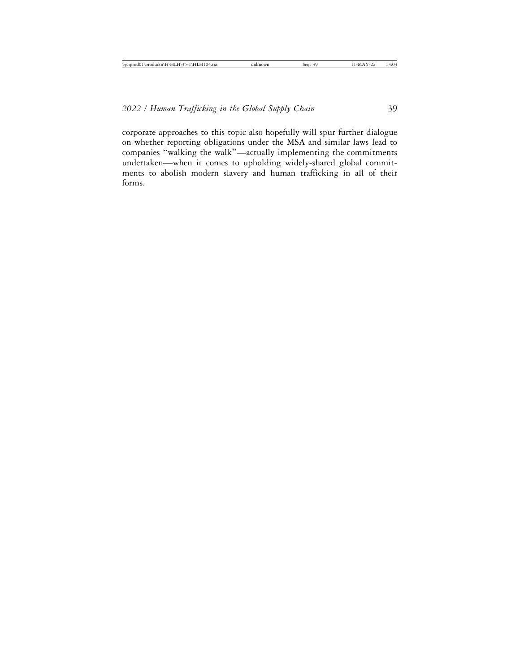corporate approaches to this topic also hopefully will spur further dialogue on whether reporting obligations under the MSA and similar laws lead to companies "walking the walk"—actually implementing the commitments undertaken—when it comes to upholding widely-shared global commitments to abolish modern slavery and human trafficking in all of their forms.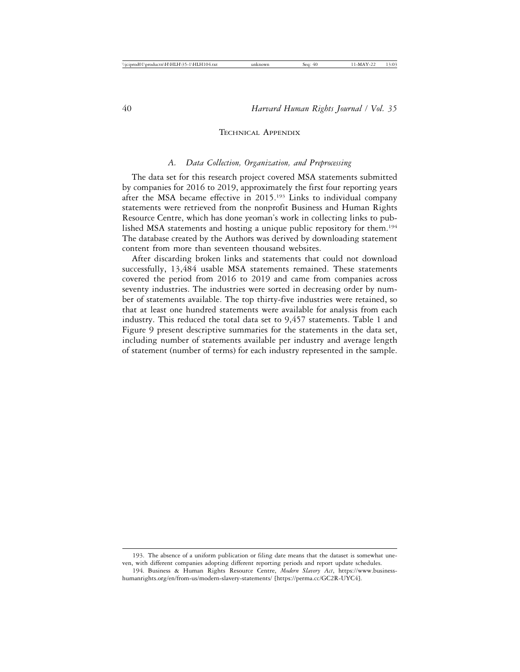#### TECHNICAL APPENDIX

#### *A. Data Collection, Organization, and Preprocessing*

The data set for this research project covered MSA statements submitted by companies for 2016 to 2019, approximately the first four reporting years after the MSA became effective in 2015.193 Links to individual company statements were retrieved from the nonprofit Business and Human Rights Resource Centre, which has done yeoman's work in collecting links to published MSA statements and hosting a unique public repository for them.194 The database created by the Authors was derived by downloading statement content from more than seventeen thousand websites.

After discarding broken links and statements that could not download successfully, 13,484 usable MSA statements remained. These statements covered the period from 2016 to 2019 and came from companies across seventy industries. The industries were sorted in decreasing order by number of statements available. The top thirty-five industries were retained, so that at least one hundred statements were available for analysis from each industry. This reduced the total data set to 9,457 statements. Table 1 and Figure 9 present descriptive summaries for the statements in the data set, including number of statements available per industry and average length of statement (number of terms) for each industry represented in the sample.

<sup>193.</sup> The absence of a uniform publication or filing date means that the dataset is somewhat uneven, with different companies adopting different reporting periods and report update schedules.

<sup>194.</sup> Business & Human Rights Resource Centre, *Modern Slavery Act*, https://www.businesshumanrights.org/en/from-us/modern-slavery-statements/ [https://perma.cc/GC2R-UYC4].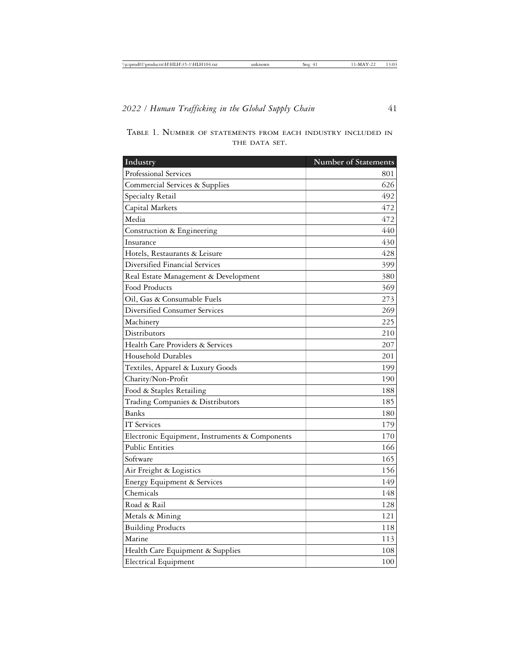| Industry                                       | Number of Statements |
|------------------------------------------------|----------------------|
| <b>Professional Services</b>                   | 801                  |
| Commercial Services & Supplies                 | 626                  |
| Specialty Retail                               | 492                  |
| Capital Markets                                | 472                  |
| Media                                          | 472                  |
| Construction & Engineering                     | 440                  |
| Insurance                                      | 430                  |
| Hotels, Restaurants & Leisure                  | 428                  |
| Diversified Financial Services                 | 399                  |
| Real Estate Management & Development           | 380                  |
| Food Products                                  | 369                  |
| Oil, Gas & Consumable Fuels                    | 273                  |
| <b>Diversified Consumer Services</b>           | 269                  |
| Machinery                                      | 225                  |
| Distributors                                   | 210                  |
| Health Care Providers & Services               | 207                  |
| Household Durables                             | 201                  |
| Textiles, Apparel & Luxury Goods               | 199                  |
| Charity/Non-Profit                             | 190                  |
| Food & Staples Retailing                       | 188                  |
| Trading Companies & Distributors               | 185                  |
| <b>Banks</b>                                   | 180                  |
| <b>IT Services</b>                             | 179                  |
| Electronic Equipment, Instruments & Components | 170                  |
| <b>Public Entities</b>                         | 166                  |
| Software                                       | 165                  |
| Air Freight & Logistics                        | 156                  |
| Energy Equipment & Services                    | 149                  |

Chemicals 148 Road & Rail 128 Metals & Mining 121 Building Products 118 Marine 113 Health Care Equipment & Supplies 108 Electrical Equipment 100

|               |  |  |  | TABLE 1. NUMBER OF STATEMENTS FROM EACH INDUSTRY INCLUDED IN |  |  |  |  |  |
|---------------|--|--|--|--------------------------------------------------------------|--|--|--|--|--|
| THE DATA SET. |  |  |  |                                                              |  |  |  |  |  |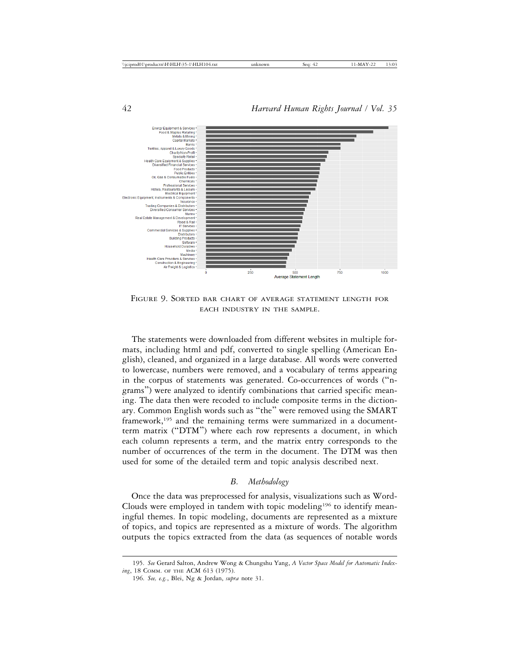

FIGURE 9. SORTED BAR CHART OF AVERAGE STATEMENT LENGTH FOR EACH INDUSTRY IN THE SAMPLE.

The statements were downloaded from different websites in multiple formats, including html and pdf, converted to single spelling (American English), cleaned, and organized in a large database. All words were converted to lowercase, numbers were removed, and a vocabulary of terms appearing in the corpus of statements was generated. Co-occurrences of words ("ngrams") were analyzed to identify combinations that carried specific meaning. The data then were recoded to include composite terms in the dictionary. Common English words such as "the" were removed using the SMART framework,<sup>195</sup> and the remaining terms were summarized in a documentterm matrix ("DTM") where each row represents a document, in which each column represents a term, and the matrix entry corresponds to the number of occurrences of the term in the document. The DTM was then used for some of the detailed term and topic analysis described next.

## *B. Methodology*

Once the data was preprocessed for analysis, visualizations such as Word-Clouds were employed in tandem with topic modeling<sup>196</sup> to identify meaningful themes. In topic modeling, documents are represented as a mixture of topics, and topics are represented as a mixture of words. The algorithm outputs the topics extracted from the data (as sequences of notable words

<sup>195.</sup> *See* Gerard Salton, Andrew Wong & Chungshu Yang, *A Vector Space Model for Automatic Indexing*, 18 COMM. OF THE ACM 613 (1975).

<sup>196.</sup> *See, e.g.*, Blei, Ng & Jordan, *supra* note 31.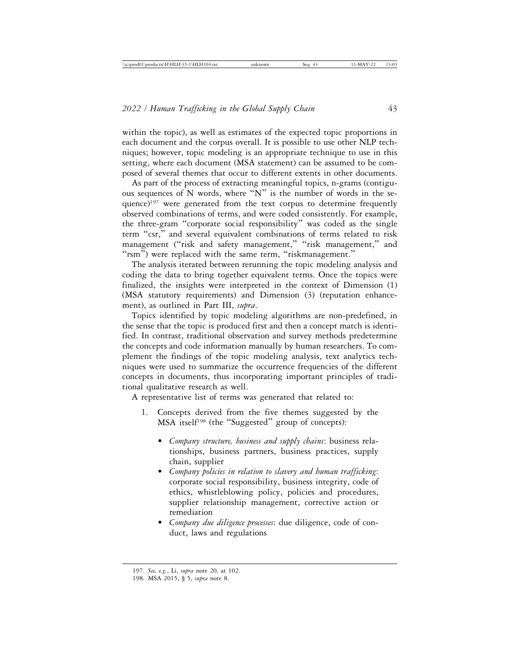within the topic), as well as estimates of the expected topic proportions in each document and the corpus overall. It is possible to use other NLP techniques; however, topic modeling is an appropriate technique to use in this setting, where each document (MSA statement) can be assumed to be composed of several themes that occur to different extents in other documents.

As part of the process of extracting meaningful topics, n-grams (contiguous sequences of N words, where "N" is the number of words in the sequence)197 were generated from the text corpus to determine frequently observed combinations of terms, and were coded consistently. For example, the three-gram "corporate social responsibility" was coded as the single term "csr," and several equivalent combinations of terms related to risk management ("risk and safety management," "risk management," and "rsm") were replaced with the same term, "riskmanagement."

The analysis iterated between rerunning the topic modeling analysis and coding the data to bring together equivalent terms. Once the topics were finalized, the insights were interpreted in the context of Dimension (1) (MSA statutory requirements) and Dimension (3) (reputation enhancement), as outlined in Part III, *supra*.

Topics identified by topic modeling algorithms are non-predefined, in the sense that the topic is produced first and then a concept match is identified. In contrast, traditional observation and survey methods predetermine the concepts and code information manually by human researchers. To complement the findings of the topic modeling analysis, text analytics techniques were used to summarize the occurrence frequencies of the different concepts in documents, thus incorporating important principles of traditional qualitative research as well.

A representative list of terms was generated that related to:

- 1. Concepts derived from the five themes suggested by the MSA itself<sup>198</sup> (the "Suggested" group of concepts):
	- *Company structure, business and supply chains*: business relationships, business partners, business practices, supply chain, supplier
	- *Company policies in relation to slavery and human trafficking*: corporate social responsibility, business integrity, code of ethics, whistleblowing policy, policies and procedures, supplier relationship management, corrective action or remediation
	- *Company due diligence processes*: due diligence, code of conduct, laws and regulations

<sup>197.</sup> *See, e.g.*, Li, *supra* note 20*,* at 102.

<sup>198.</sup> MSA 2015, § 5, *supra* note 8.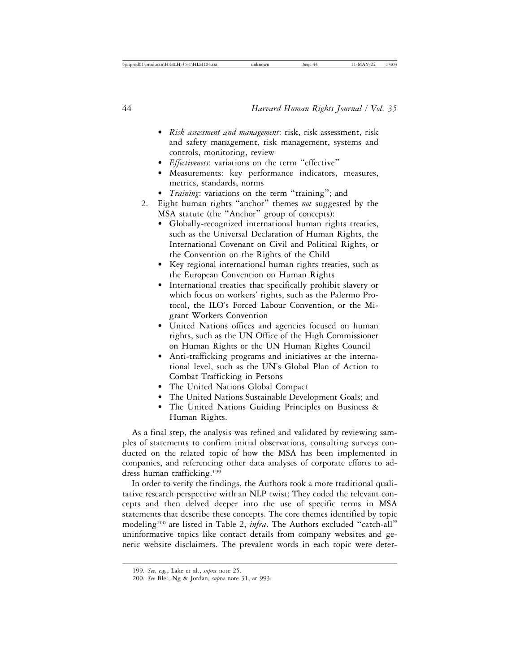- *Risk assessment and management*: risk, risk assessment, risk and safety management, risk management, systems and controls, monitoring, review
- *Effectiveness*: variations on the term "effective"
- Measurements: key performance indicators, measures, metrics, standards, norms
- *Training*: variations on the term "training"; and
- 2. Eight human rights "anchor" themes *not* suggested by the MSA statute (the "Anchor" group of concepts):
	- Globally-recognized international human rights treaties, such as the Universal Declaration of Human Rights, the International Covenant on Civil and Political Rights, or the Convention on the Rights of the Child
	- Key regional international human rights treaties, such as the European Convention on Human Rights
	- International treaties that specifically prohibit slavery or which focus on workers' rights, such as the Palermo Protocol, the ILO's Forced Labour Convention, or the Migrant Workers Convention
	- United Nations offices and agencies focused on human rights, such as the UN Office of the High Commissioner on Human Rights or the UN Human Rights Council
	- Anti-trafficking programs and initiatives at the international level, such as the UN's Global Plan of Action to Combat Trafficking in Persons
	- The United Nations Global Compact
	- The United Nations Sustainable Development Goals; and
	- The United Nations Guiding Principles on Business & Human Rights.

As a final step, the analysis was refined and validated by reviewing samples of statements to confirm initial observations, consulting surveys conducted on the related topic of how the MSA has been implemented in companies, and referencing other data analyses of corporate efforts to address human trafficking.199

In order to verify the findings, the Authors took a more traditional qualitative research perspective with an NLP twist: They coded the relevant concepts and then delved deeper into the use of specific terms in MSA statements that describe these concepts. The core themes identified by topic modeling200 are listed in Table 2, *infra*. The Authors excluded "catch-all" uninformative topics like contact details from company websites and generic website disclaimers. The prevalent words in each topic were deter-

<sup>199.</sup> *See, e.g.*, Lake et al., *supra* note 25.

<sup>200.</sup> *See* Blei, Ng & Jordan, *supra* note 31, at 993.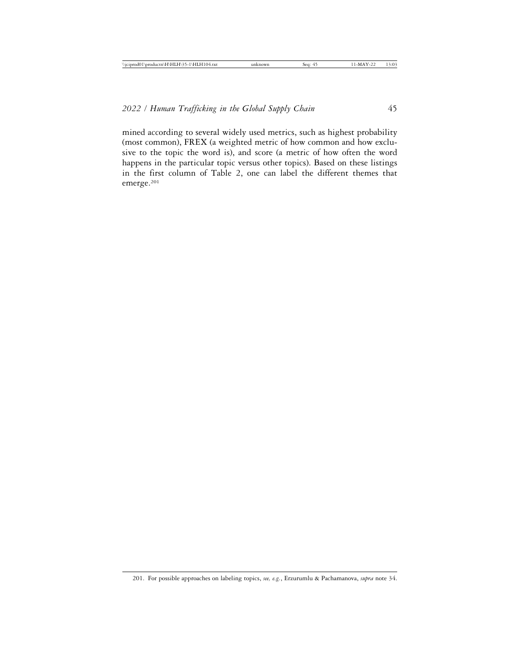mined according to several widely used metrics, such as highest probability (most common), FREX (a weighted metric of how common and how exclusive to the topic the word is), and score (a metric of how often the word happens in the particular topic versus other topics). Based on these listings in the first column of Table 2, one can label the different themes that emerge.201